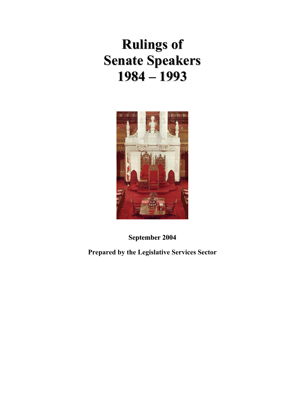# **Rulings of Senate Speakers 1984 – 1993**



**September 2004**

**Prepared by the Legislative Services Sector**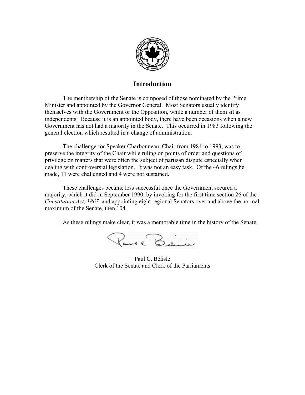

#### **Introduction**

 The membership of the Senate is composed of those nominated by the Prime Minister and appointed by the Governor General. Most Senators usually identify themselves with the Government or the Opposition, while a number of them sit as independents. Because it is an appointed body, there have been occasions when a new Government has not had a majority in the Senate. This occurred in 1983 following the general election which resulted in a change of administration.

 The challenge for Speaker Charbonneau, Chair from 1984 to 1993, was to preserve the integrity of the Chair while ruling on points of order and questions of privilege on matters that were often the subject of partisan dispute especially when dealing with controversial legislation. It was not an easy task. Of the 46 rulings he made, 11 were challenged and 4 were not sustained.

 These challenges became less successful once the Government secured a majority, which it did in September 1990, by invoking for the first time section 26 of the *Constitution Act, 1867*, and appointing eight regional Senators over and above the normal maximum of the Senate, then 104.

As these rulings make clear, it was a memorable time in the history of the Senate.

Pare Benin

Paul C. Bélisle Clerk of the Senate and Clerk of the Parliaments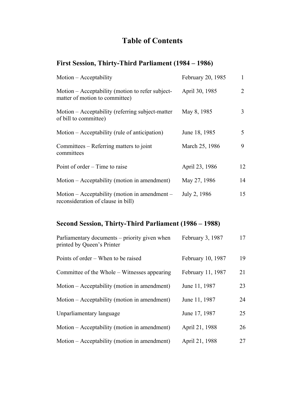# **Table of Contents**

## **First Session, Thirty-Third Parliament (1984 – 1986)**

| Motion – Acceptability                                                              | February 20, 1985 | 1  |
|-------------------------------------------------------------------------------------|-------------------|----|
| Motion – Acceptability (motion to refer subject-<br>matter of motion to committee)  | April 30, 1985    | 2  |
| Motion – Acceptability (referring subject-matter<br>of bill to committee)           | May 8, 1985       | 3  |
| Motion – Acceptability (rule of anticipation)                                       | June 18, 1985     | 5  |
| Committees – Referring matters to joint<br>committees                               | March 25, 1986    | 9  |
| Point of order – Time to raise                                                      | April 23, 1986    | 12 |
| Motion – Acceptability (motion in amendment)                                        | May 27, 1986      | 14 |
| Motion – Acceptability (motion in amendment –<br>reconsideration of clause in bill) | July 2, 1986      | 15 |

## **Second Session, Thirty-Third Parliament (1986 – 1988)**

| Parliamentary documents – priority given when<br>printed by Queen's Printer | February 3, 1987  | 17 |
|-----------------------------------------------------------------------------|-------------------|----|
| Points of order – When to be raised                                         | February 10, 1987 | 19 |
| Committee of the Whole – Witnesses appearing                                | February 11, 1987 | 21 |
| Motion – Acceptability (motion in amendment)                                | June 11, 1987     | 23 |
| Motion – Acceptability (motion in amendment)                                | June 11, 1987     | 24 |
| Unparliamentary language                                                    | June 17, 1987     | 25 |
| Motion – Acceptability (motion in amendment)                                | April 21, 1988    | 26 |
| Motion – Acceptability (motion in amendment)                                | April 21, 1988    | 27 |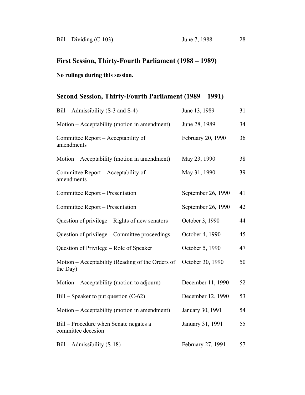## **First Session, Thirty-Fourth Parliament (1988 – 1989)**

### **No rulings during this session.**

## **Second Session, Thirty-Fourth Parliament (1989 – 1991)**

| Bill – Admissibility (S-3 and S-4)                           | June 13, 1989      | 31 |
|--------------------------------------------------------------|--------------------|----|
| Motion – Acceptability (motion in amendment)                 | June 28, 1989      | 34 |
| Committee Report – Acceptability of<br>amendments            | February 20, 1990  | 36 |
| Motion – Acceptability (motion in amendment)                 | May 23, 1990       | 38 |
| Committee Report – Acceptability of<br>amendments            | May 31, 1990       | 39 |
| Committee Report – Presentation                              | September 26, 1990 | 41 |
| Committee Report – Presentation                              | September 26, 1990 | 42 |
| Question of privilege - Rights of new senators               | October 3, 1990    | 44 |
| Question of privilege – Committee proceedings                | October 4, 1990    | 45 |
| Question of Privilege - Role of Speaker                      | October 5, 1990    | 47 |
| Motion - Acceptability (Reading of the Orders of<br>the Day) | October 30, 1990   | 50 |
| Motion – Acceptability (motion to adjourn)                   | December 11, 1990  | 52 |
| $Bill - Speaker to put question (C-62)$                      | December 12, 1990  | 53 |
| Motion – Acceptability (motion in amendment)                 | January 30, 1991   | 54 |
| Bill – Procedure when Senate negates a<br>committee decesion | January 31, 1991   | 55 |
| $Bill - Admissibility (S-18)$                                | February 27, 1991  | 57 |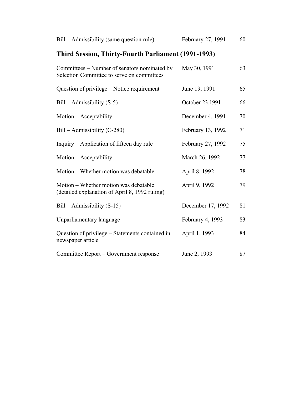| Bill – Admissibility (same question rule)                                                  | February 27, 1991 | 60 |
|--------------------------------------------------------------------------------------------|-------------------|----|
| Third Session, Thirty-Fourth Parliament (1991-1993)                                        |                   |    |
| Committees – Number of senators nominated by<br>Selection Committee to serve on committees | May 30, 1991      | 63 |
| Question of privilege – Notice requirement                                                 | June 19, 1991     | 65 |
| $Bill - Admissibility(S-5)$                                                                | October 23,1991   | 66 |
| Motion – Acceptability                                                                     | December 4, 1991  | 70 |
| $Bill - Admissibility (C-280)$                                                             | February 13, 1992 | 71 |
| Inquiry – Application of fifteen day rule                                                  | February 27, 1992 | 75 |
| Motion – Acceptability                                                                     | March 26, 1992    | 77 |
| Motion - Whether motion was debatable                                                      | April 8, 1992     | 78 |
| Motion – Whether motion was debatable<br>(detailed explanation of April 8, 1992 ruling)    | April 9, 1992     | 79 |
| $Bill - Admissibility (S-15)$                                                              | December 17, 1992 | 81 |
| Unparliamentary language                                                                   | February 4, 1993  | 83 |
| Question of privilege – Statements contained in<br>newspaper article                       | April 1, 1993     | 84 |
| Committee Report - Government response                                                     | June 2, 1993      | 87 |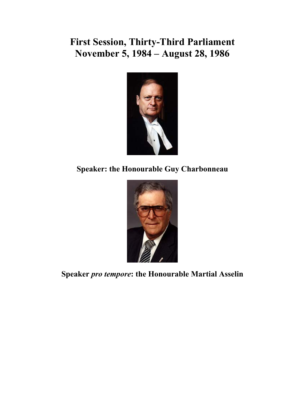# **First Session, Thirty-Third Parliament November 5, 1984 – August 28, 1986**



**Speaker: the Honourable Guy Charbonneau** 



**Speaker** *pro tempore***: the Honourable Martial Asselin**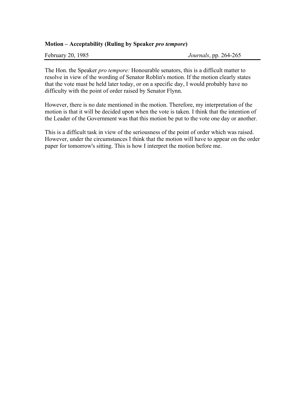#### **Motion – Acceptability (Ruling by Speaker** *pro tempore***)**

February 20, 1985 *Journals*, pp. 264-265

The Hon. the Speaker *pro tempore:* Honourable senators, this is a difficult matter to resolve in view of the wording of Senator Roblin's motion. If the motion clearly states that the vote must be held later today, or on a specific day, I would probably have no difficulty with the point of order raised by Senator Flynn.

However, there is no date mentioned in the motion. Therefore, my interpretation of the motion is that it will be decided upon when the vote is taken. I think that the intention of the Leader of the Government was that this motion be put to the vote one day or another.

This is a difficult task in view of the seriousness of the point of order which was raised. However, under the circumstances I think that the motion will have to appear on the order paper for tomorrow's sitting. This is how I interpret the motion before me.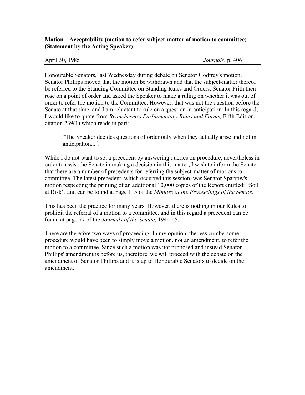#### **Motion – Acceptability (motion to refer subject-matter of motion to committee) (Statement by the Acting Speaker)**

April 30, 1985 *Journals*, p. 406

Honourable Senators, last Wednesday during debate on Senator Godfrey's motion, Senator Phillips moved that the motion be withdrawn and that the subject-matter thereof be referred to the Standing Committee on Standing Rules and Orders. Senator Frith then rose on a point of order and asked the Speaker to make a ruling on whether it was out of order to refer the motion to the Committee. However, that was not the question before the Senate at that time, and I am reluctant to rule on a question in anticipation. In this regard, I would like to quote from *Beauchesne's Parliamentary Rules and Forms,* Fifth Edition, citation 239(1) which reads in part:

"The Speaker decides questions of order only when they actually arise and not in anticipation...".

While I do not want to set a precedent by answering queries on procedure, nevertheless in order to assist the Senate in making a decision in this matter, I wish to inform the Senate that there are a number of precedents for referring the subject-matter of motions to committee. The latest precedent, which occurred this session, was Senator Sparrow's motion respecting the printing of an additional 10,000 copies of the Report entitled: "Soil at Risk", and can be found at page 115 of the *Minutes of the Proceedings of the Senate.* 

This has been the practice for many years. However, there is nothing in our Rules to prohibit the referral of a motion to a committee, and in this regard a precedent can be found at page 77 of the *Journals of the Senate,* 1944-45.

There are therefore two ways of proceeding. In my opinion, the less cumbersome procedure would have been to simply move a motion, not an amendment, to refer the motion to a committee. Since such a motion was not proposed and instead Senator Phillips' amendment is before us, therefore, we will proceed with the debate on the amendment of Senator Phillips and it is up to Honourable Senators to decide on the amendment.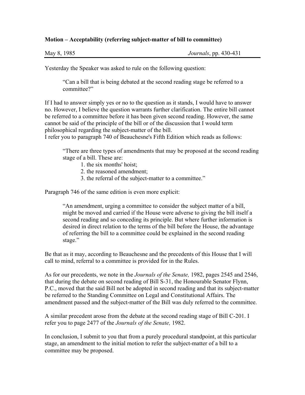#### **Motion – Acceptability (referring subject-matter of bill to committee)**

Yesterday the Speaker was asked to rule on the following question:

"Can a bill that is being debated at the second reading stage be referred to a committee?"

If I had to answer simply yes or no to the question as it stands, I would have to answer no. However, I believe the question warrants further clarification. The entire bill cannot be referred to a committee before it has been given second reading. However, the same cannot be said of the principle of the bill or of the discussion that I would term philosophical regarding the subject-matter of the bill.

I refer you to paragraph 740 of Beauchesne's Fifth Edition which reads as follows:

"There are three types of amendments that may be proposed at the second reading stage of a bill. These are:

- 1. the six months' hoist;
- 2. the reasoned amendment;
- 3. the referral of the subject-matter to a committee."

Paragraph 746 of the same edition is even more explicit:

"An amendment, urging a committee to consider the subject matter of a bill, might be moved and carried if the House were adverse to giving the bill itself a second reading and so conceding its principle. But where further information is desired in direct relation to the terms of the bill before the House, the advantage of referring the bill to a committee could be explained in the second reading stage."

Be that as it may, according to Beauchesne and the precedents of this House that I will call to mind, referral to a committee is provided for in the Rules.

As for our precedents, we note in the *Journals of the Senate,* 1982, pages 2545 and 2546, that during the debate on second reading of Bill S-31, the Honourable Senator Flynn, P.C., moved that the said Bill not be adopted in second reading and that its subject-matter be referred to the Standing Committee on Legal and Constitutional Affairs. The amendment passed and the subject-matter of the Bill was duly referred to the committee.

A similar precedent arose from the debate at the second reading stage of Bill C-201. I refer you to page 2477 of the *Journals of the Senate,* 1982.

In conclusion, I submit to you that from a purely procedural standpoint, at this particular stage, an amendment to the initial motion to refer the subject-matter of a bill to a committee may be proposed.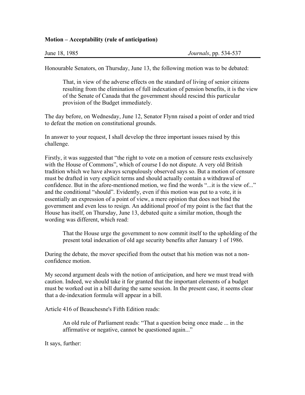#### **Motion – Acceptability (rule of anticipation)**

Honourable Senators, on Thursday, June 13, the following motion was to be debated:

That, in view of the adverse effects on the standard of living of senior citizens resulting from the elimination of full indexation of pension benefits, it is the view of the Senate of Canada that the government should rescind this particular provision of the Budget immediately.

The day before, on Wednesday, June 12, Senator Flynn raised a point of order and tried to defeat the motion on constitutional grounds.

In answer to your request, I shall develop the three important issues raised by this challenge.

Firstly, it was suggested that "the right to vote on a motion of censure rests exclusively with the House of Commons", which of course I do not dispute. A very old British tradition which we have always scrupulously observed says so. But a motion of censure must be drafted in very explicit terms and should actually contain a withdrawal of confidence. But in the afore-mentioned motion, we find the words "...it is the view of..." and the conditional "should". Evidently, even if this motion was put to a vote, it is essentially an expression of a point of view, a mere opinion that does not bind the government and even less to resign. An additional proof of my point is the fact that the House has itself, on Thursday, June 13, debated quite a similar motion, though the wording was different, which read:

That the House urge the government to now commit itself to the upholding of the present total indexation of old age security benefits after January 1 of 1986.

During the debate, the mover specified from the outset that his motion was not a nonconfidence motion.

My second argument deals with the notion of anticipation, and here we must tread with caution. Indeed, we should take it for granted that the important elements of a budget must be worked out in a bill during the same session. In the present case, it seems clear that a de-indexation formula will appear in a bill.

Article 416 of Beauchesne's Fifth Edition reads:

An old rule of Parliament reads: "That a question being once made ... in the affirmative or negative, cannot be questioned again..."

It says, further: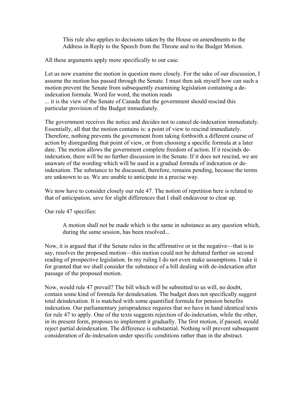This rule also applies to decisions taken by the House on amendments to the Address in Reply to the Speech from the Throne and to the Budget Motion.

All these arguments apply more specifically to our case.

Let us now examine the motion in question more closely. For the sake of our discussion, I assume the motion has passed through the Senate. I must then ask myself how can such a motion prevent the Senate from subsequently examining legislation containing a deindexation formula. Word for word, the motion reads

... it is the view of the Senate of Canada that the government should rescind this particular provision of the Budget immediately.

The government receives the notice and decides not to cancel de-indexation immediately. Essentially, all that the motion contains is: a point of view to rescind immediately. Therefore, nothing prevents the government from taking forthwith a different course of action by disregarding that point of view, or from choosing a specific formula at a later date. The motion allows the government complete freedom of action. If it rescinds deindexation, there will be no further discussion in the Senate. If it does not rescind, we are unaware of the wording which will be used in a gradual formula of indexation or deindexation. The substance to be discussed, therefore, remains pending, because the terms are unknown to us. We are unable to anticipate in a precise way.

We now have to consider closely our rule 47. The notion of repetition here is related to that of anticipation, save for slight differences that I shall endeavour to clear up.

Our rule 47 specifies:

A motion shall not be made which is the same in substance as any question which, during the same session, has been resolved...

Now, it is argued that if the Senate rules in the affirmative or in the negative—that is to say, resolves the proposed motion—this motion could not be debated further on second reading of prospective legislation. In my ruling I do not even make assumptions. I take it for granted that we shall consider the substance of a bill dealing with de-indexation after passage of the proposed motion.

Now, would rule 47 prevail? The bill which will be submitted to us will, no doubt, contain some kind of formula for deindexation. The budget does not specifically suggest total deindexation. It is matched with some quantified formula for pension benefits indexation. Our parliamentary jurisprudence requires that we have in hand identical texts for rule 47 to apply. One of the texts suggests rejection of de-indexation, while the other, in its present form, proposes to implement it gradually. The first motion, if passed, would reject partial deindexation. The difference is substantial. Nothing will prevent subsequent consideration of de-indexation under specific conditions rather than in the abstract.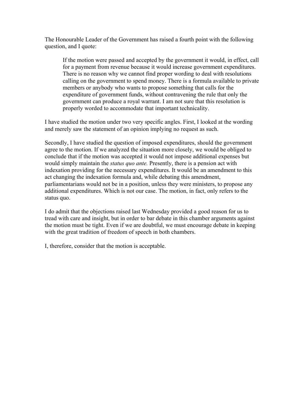The Honourable Leader of the Government has raised a fourth point with the following question, and I quote:

If the motion were passed and accepted by the government it would, in effect, call for a payment from revenue because it would increase government expenditures. There is no reason why we cannot find proper wording to deal with resolutions calling on the government to spend money. There is a formula available to private members or anybody who wants to propose something that calls for the expenditure of government funds, without contravening the rule that only the government can produce a royal warrant. I am not sure that this resolution is properly worded to accommodate that important technicality.

I have studied the motion under two very specific angles. First, I looked at the wording and merely saw the statement of an opinion implying no request as such.

Secondly, I have studied the question of imposed expenditures, should the government agree to the motion. If we analyzed the situation more closely, we would be obliged to conclude that if the motion was accepted it would not impose additional expenses but would simply maintain the *status quo ante.* Presently, there is a pension act with indexation providing for the necessary expenditures. It would be an amendment to this act changing the indexation formula and, while debating this amendment, parliamentarians would not be in a position, unless they were ministers, to propose any additional expenditures. Which is not our case. The motion, in fact, only refers to the status quo.

I do admit that the objections raised last Wednesday provided a good reason for us to tread with care and insight, but in order to bar debate in this chamber arguments against the motion must be tight. Even if we are doubtful, we must encourage debate in keeping with the great tradition of freedom of speech in both chambers.

I, therefore, consider that the motion is acceptable.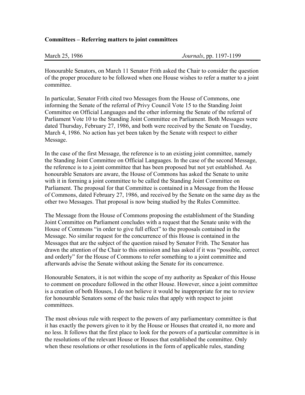#### **Committees – Referring matters to joint committees**

Honourable Senators, on March 11 Senator Frith asked the Chair to consider the question of the proper procedure to be followed when one House wishes to refer a matter to a joint committee.

In particular, Senator Frith cited two Messages from the House of Commons, one informing the Senate of the referral of Privy Council Vote 15 to the Standing Joint Committee on Official Languages and the other informing the Senate of the referral of Parliament Vote 10 to the Standing Joint Committee on Parliament. Both Messages were dated Thursday, February 27, 1986, and both were received by the Senate on Tuesday, March 4, 1986. No action has yet been taken by the Senate with respect to either Message.

In the case of the first Message, the reference is to an existing joint committee, namely the Standing Joint Committee on Official Languages. In the case of the second Message, the reference is to a joint committee that has been proposed but not yet established. As honourable Senators are aware, the House of Commons has asked the Senate to unite with it in forming a joint committee to be called the Standing Joint Committee on Parliament. The proposal for that Committee is contained in a Message from the House of Commons, dated February 27, 1986, and received by the Senate on the same day as the other two Messages. That proposal is now being studied by the Rules Committee.

The Message from the House of Commons proposing the establishment of the Standing Joint Committee on Parliament concludes with a request that the Senate unite with the House of Commons "in order to give full effect" to the proposals contained in the Message. No similar request for the concurrence of this House is contained in the Messages that are the subject of the question raised by Senator Frith. The Senator has drawn the attention of the Chair to this omission and has asked if it was "possible, correct and orderly" for the House of Commons to refer something to a joint committee and afterwards advise the Senate without asking the Senate for its concurrence.

Honourable Senators, it is not within the scope of my authority as Speaker of this House to comment on procedure followed in the other House. However, since a joint committee is a creation of both Houses, I do not believe it would be inappropriate for me to review for honourable Senators some of the basic rules that apply with respect to joint committees.

The most obvious rule with respect to the powers of any parliamentary committee is that it has exactly the powers given to it by the House or Houses that created it, no more and no less. It follows that the first place to look for the powers of a particular committee is in the resolutions of the relevant House or Houses that established the committee. Only when these resolutions or other resolutions in the form of applicable rules, standing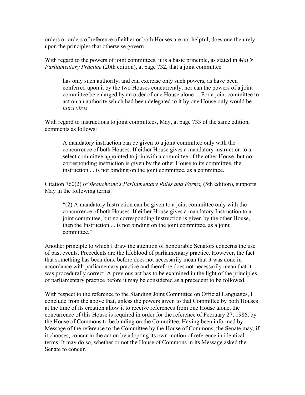orders or orders of reference of either or both Houses are not helpful, does one then rely upon the principles that otherwise govern.

With regard to the powers of joint committees, it is a basic principle, as stated in *May's Parliamentary Practice* (20th edition), at page 732, that a joint committee

has only such authority, and can exercise only such powers, as have been conferred upon it by the two Houses concurrently, nor can the powers of a joint committee be enlarged by an order of one House alone ... For a joint committee to act on an authority which had been delegated to it by one House only would be *ultra vires.* 

With regard to instructions to joint committees, May, at page 733 of the same edition, comments as follows:

A mandatory instruction can be given to a joint committee only with the concurrence of both Houses. If either House gives a mandatory instruction to a select committee appointed to join with a committee of the other House, but no corresponding instruction is given by the other House to its committee, the instruction ... is not binding on the joint committee, as a committee.

Citation 760(2) of *Beauchesne's Parliamentary Rules and Forms,* (5th edition), supports May in the following terms:

"(2) A mandatory Instruction can be given to a joint committee only with the concurrence of both Houses. If either House gives a mandatory Instruction to a joint committee, but no corresponding Instruction is given by the other House, then the Instruction ... is not binding on the joint committee, as a joint committee."

Another principle to which I draw the attention of honourable Senators concerns the use of past events. Precedents are the lifeblood of parliamentary practice. However, the fact that something has been done before does not necessarily mean that it was done in accordance with parliamentary practice and therefore does not necessarily mean that it was procedurally correct. A previous act has to be examined in the light of the principles of parliamentary practice before it may be considered as a precedent to be followed.

With respect to the reference to the Standing Joint Committee on Official Languages, I conclude from the above that, unless the powers given to that Committee by both Houses at the time of its creation allow it to receive references from one House alone, the concurrence of this House is required in order for the reference of February 27, 1986, by the House of Commons to be binding on the Committee. Having been informed by Message of the reference to the Committee by the House of Commons, the Senate may, if it chooses, concur in the action by adopting its own motion of reference in identical terms. It may do so, whether or not the House of Commons in its Message asked the Senate to concur.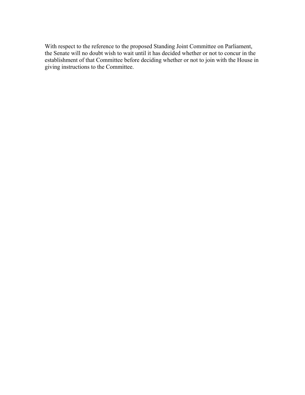With respect to the reference to the proposed Standing Joint Committee on Parliament, the Senate will no doubt wish to wait until it has decided whether or not to concur in the establishment of that Committee before deciding whether or not to join with the House in giving instructions to the Committee.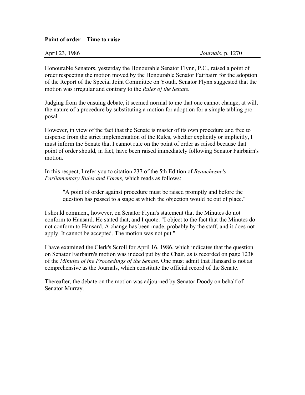#### **Point of order – Time to raise**

| April 23, 1986 | <i>Journals</i> , p. 1270 |
|----------------|---------------------------|
|----------------|---------------------------|

Honourable Senators, yesterday the Honourable Senator Flynn, P.C., raised a point of order respecting the motion moved by the Honourable Senator Fairbairn for the adoption of the Report of the Special Joint Committee on Youth. Senator Flynn suggested that the motion was irregular and contrary to the *Rules of the Senate.* 

Judging from the ensuing debate, it seemed normal to me that one cannot change, at will, the nature of a procedure by substituting a motion for adoption for a simple tabling proposal.

However, in view of the fact that the Senate is master of its own procedure and free to dispense from the strict implementation of the Rules, whether explicitly or implicitly, I must inform the Senate that I cannot rule on the point of order as raised because that point of order should, in fact, have been raised immediately following Senator Fairbairn's motion.

In this respect, I refer you to citation 237 of the 5th Edition of *Beauchesne's Parliamentary Rules and Forms,* which reads as follows:

"A point of order against procedure must be raised promptly and before the question has passed to a stage at which the objection would be out of place."

I should comment, however, on Senator Flynn's statement that the Minutes do not conform to Hansard. He stated that, and I quote: "I object to the fact that the Minutes do not conform to Hansard. A change has been made, probably by the staff, and it does not apply. It cannot be accepted. The motion was not put."

I have examined the Clerk's Scroll for April 16, 1986, which indicates that the question on Senator Fairbairn's motion was indeed put by the Chair, as is recorded on page 1238 of the *Minutes of the Proceedings of the Senate.* One must admit that Hansard is not as comprehensive as the Journals, which constitute the official record of the Senate.

Thereafter, the debate on the motion was adjourned by Senator Doody on behalf of Senator Murray.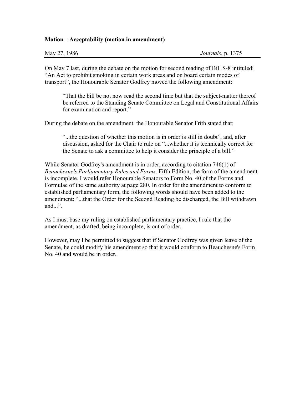#### **Motion – Acceptability (motion in amendment)**

| May 27, 1986 | Journals, p. 1375 |
|--------------|-------------------|
|              |                   |

On May 7 last, during the debate on the motion for second reading of Bill S-8 intituled: "An Act to prohibit smoking in certain work areas and on board certain modes of transport", the Honourable Senator Godfrey moved the following amendment:

"That the bill be not now read the second time but that the subject-matter thereof be referred to the Standing Senate Committee on Legal and Constitutional Affairs for examination and report."

During the debate on the amendment, the Honourable Senator Frith stated that:

"...the question of whether this motion is in order is still in doubt", and, after discussion, asked for the Chair to rule on "...whether it is technically correct for the Senate to ask a committee to help it consider the principle of a bill."

While Senator Godfrey's amendment is in order, according to citation 746(1) of *Beauchesne's Parliamentary Rules and Forms,* Fifth Edition, the form of the amendment is incomplete. I would refer Honourable Senators to Form No. 40 of the Forms and Formulae of the same authority at page 280. In order for the amendment to conform to established parliamentary form, the following words should have been added to the amendment: "...that the Order for the Second Reading be discharged, the Bill withdrawn and...".

As I must base my ruling on established parliamentary practice, I rule that the amendment, as drafted, being incomplete, is out of order.

However, may I be permitted to suggest that if Senator Godfrey was given leave of the Senate, he could modify his amendment so that it would conform to Beauchesne's Form No. 40 and would be in order.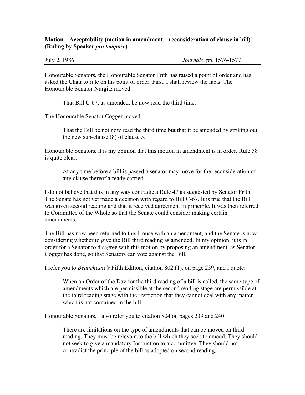#### **Motion – Acceptability (motion in amendment – reconsideration of clause in bill) (Ruling by Speaker** *pro tempore***)**

July 2, 1986 *Journals*, pp. 1576-1577

Honourable Senators, the Honourable Senator Frith has raised a point of order and has asked the Chair to rule on his point of order. First, I shall review the facts. The Honourable Senator Nurgitz moved:

That Bill C-67, as amended, be now read the third time.

The Honourable Senator Cogger moved:

That the Bill be not now read the third time but that it be amended by striking out the new sub-clause (8) of clause 5.

Honourable Senators, it is my opinion that this motion in amendment is in order. Rule 58 is quite clear:

At any time before a bill is passed a senator may move for the reconsideration of any clause thereof already carried.

I do not believe that this in any way contradicts Rule 47 as suggested by Senator Frith. The Senate has not yet made a decision with regard to Bill C-67. It is true that the Bill was given second reading and that it received agreement in principle. It was then referred to Committee of the Whole so that the Senate could consider making certain amendments.

The Bill has now been returned to this House with an amendment, and the Senate is now considering whether to give the Bill third reading as amended. In my opinion, it is in order for a Senator to disagree with this motion by proposing an amendment, as Senator Cogger has done, so that Senators can vote against the Bill.

I refer you to *Beauchesne's* Fifth Edition, citation 802.(1), on page 239, and I quote:

When an Order of the Day for the third reading of a bill is called, the same type of amendments which are permissible at the second reading stage are permissible at the third reading stage with the restriction that they cannot deal with any matter which is not contained in the bill.

Honourable Senators, I also refer you to citation 804 on pages 239 and 240:

There are limitations on the type of amendments that can be moved on third reading. They must be relevant to the bill which they seek to amend. They should not seek to give a mandatory Instruction to a committee. They should not contradict the principle of the bill as adopted on second reading.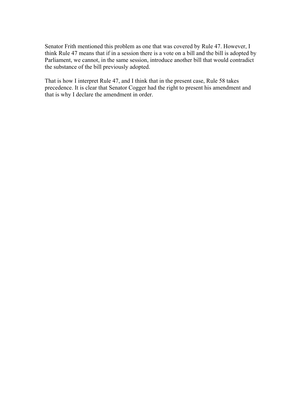Senator Frith mentioned this problem as one that was covered by Rule 47. However, I think Rule 47 means that if in a session there is a vote on a bill and the bill is adopted by Parliament, we cannot, in the same session, introduce another bill that would contradict the substance of the bill previously adopted.

That is how I interpret Rule 47, and I think that in the present case, Rule 58 takes precedence. It is clear that Senator Cogger had the right to present his amendment and that is why I declare the amendment in order.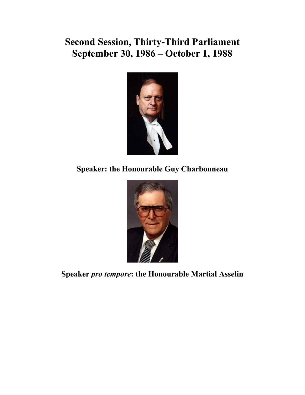# **Second Session, Thirty-Third Parliament September 30, 1986 – October 1, 1988**



**Speaker: the Honourable Guy Charbonneau** 



**Speaker** *pro tempore***: the Honourable Martial Asselin**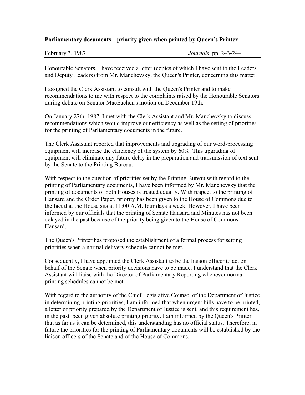#### **Parliamentary documents – priority given when printed by Queen's Printer**

Honourable Senators, I have received a letter (copies of which I have sent to the Leaders and Deputy Leaders) from Mr. Manchevsky, the Queen's Printer, concerning this matter.

I assigned the Clerk Assistant to consult with the Queen's Printer and to make recommendations to me with respect to the complaints raised by the Honourable Senators during debate on Senator MacEachen's motion on December 19th.

On January 27th, 1987, I met with the Clerk Assistant and Mr. Manchevsky to discuss recommendations which would improve our efficiency as well as the setting of priorities for the printing of Parliamentary documents in the future.

The Clerk Assistant reported that improvements and upgrading of our word-processing equipment will increase the efficiency of the system by 60%. This upgrading of equipment will eliminate any future delay in the preparation and transmission of text sent by the Senate to the Printing Bureau.

With respect to the question of priorities set by the Printing Bureau with regard to the printing of Parliamentary documents, I have been informed by Mr. Manchevsky that the printing of documents of both Houses is treated equally. With respect to the printing of Hansard and the Order Paper, priority has been given to the House of Commons due to the fact that the House sits at 11:00 A.M. four days a week. However, I have been informed by our officials that the printing of Senate Hansard and Minutes has not been delayed in the past because of the priority being given to the House of Commons Hansard.

The Queen's Printer has proposed the establishment of a formal process for setting priorities when a normal delivery schedule cannot be met.

Consequently, I have appointed the Clerk Assistant to be the liaison officer to act on behalf of the Senate when priority decisions have to be made. I understand that the Clerk Assistant will liaise with the Director of Parliamentary Reporting whenever normal printing schedules cannot be met.

With regard to the authority of the Chief Legislative Counsel of the Department of Justice in determining printing priorities, I am informed that when urgent bills have to be printed, a letter of priority prepared by the Department of Justice is sent, and this requirement has, in the past, been given absolute printing priority. I am informed by the Queen's Printer that as far as it can be determined, this understanding has no official status. Therefore, in future the priorities for the printing of Parliamentary documents will be established by the liaison officers of the Senate and of the House of Commons.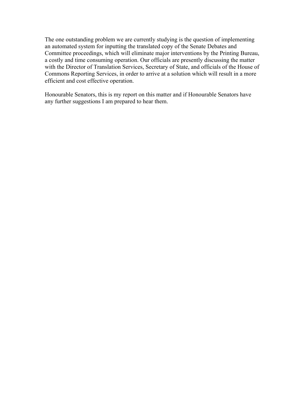The one outstanding problem we are currently studying is the question of implementing an automated system for inputting the translated copy of the Senate Debates and Committee proceedings, which will eliminate major interventions by the Printing Bureau, a costly and time consuming operation. Our officials are presently discussing the matter with the Director of Translation Services, Secretary of State, and officials of the House of Commons Reporting Services, in order to arrive at a solution which will result in a more efficient and cost effective operation.

Honourable Senators, this is my report on this matter and if Honourable Senators have any further suggestions I am prepared to hear them.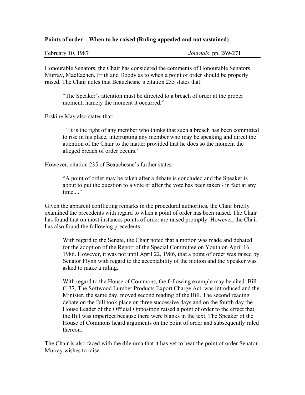#### **Points of order – When to be raised (Ruling appealed and not sustained)**

Honourable Senators, the Chair has considered the comments of Honourable Senators Murray, MacEachen, Frith and Doody as to when a point of order should be properly raised. The Chair notes that Beauchesne's citation 235 states that:

"The Speaker's attention must be directed to a breach of order at the proper moment, namely the moment it occurred."

Erskine May also states that:

"It is the right of any member who thinks that such a breach has been committed to rise in his place, interrupting any member who may be speaking and direct the attention of the Chair to the matter provided that he does so the moment the alleged breach of order occurs."

However, citation 235 of Beauchesne's further states:

"A point of order may be taken after a debate is concluded and the Speaker is about to put the question to a vote or after the vote has been taken - in fact at any time ..."

Given the apparent conflicting remarks in the procedural authorities, the Chair briefly examined the precedents with regard to when a point of order has been raised. The Chair has found that on most instances points of order are raised promptly. However, the Chair has also found the following precedents:

With regard to the Senate, the Chair noted that a motion was made and debated for the adoption of the Report of the Special Committee on Youth on April 16, 1986. However, it was not until April 22, 1986, that a point of order was raised by Senator Flynn with regard to the acceptability of the motion and the Speaker was asked to make a ruling.

With regard to the House of Commons, the following example may be cited: Bill C-37, The Softwood Lumber Products Export Charge Act, was introduced and the Minister, the same day, moved second reading of the Bill. The second reading debate on the Bill took place on three successive days and on the fourth day the House Leader of the Official Opposition raised a point of order to the effect that the Bill was imperfect because there were blanks in the text. The Speaker of the House of Commons heard arguments on the point of order and subsequently ruled thereon.

The Chair is also faced with the dilemma that it has yet to hear the point of order Senator Murray wishes to raise.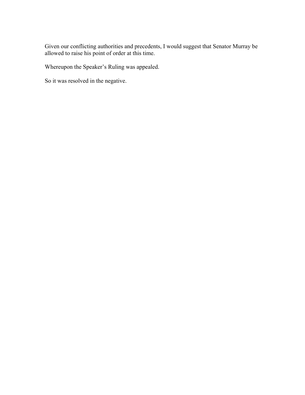Given our conflicting authorities and precedents, I would suggest that Senator Murray be allowed to raise his point of order at this time.

Whereupon the Speaker's Ruling was appealed.

So it was resolved in the negative.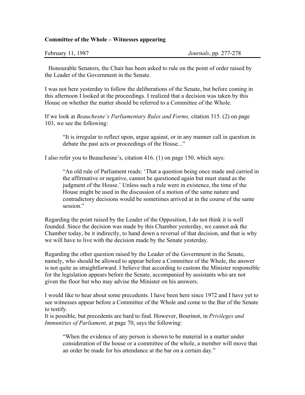#### **Committee of the Whole – Witnesses appearing**

Honourable Senators, the Chair has been asked to rule on the point of order raised by the Leader of the Government in the Senate.

I was not here yesterday to follow the deliberations of the Senate, but before coming in this afternoon I looked at the proceedings. I realized that a decision was taken by this House on whether the matter should be referred to a Committee of the Whole.

If we look at *Beauchesne's Parliamentary Rules and Forms,* citation 315. (2) on page 103, we see the following:

"It is irregular to reflect upon, argue against, or in any manner call in question in debate the past acts or proceedings of the House..."

I also refer you to Beauchesne's, citation 416. (1) on page 150, which says:

"An old rule of Parliament reads: 'That a question being once made and carried in the affirmative or negative, cannot be questioned again but must stand as the judgment of the House.' Unless such a rule were in existence, the time of the House might be used in the discussion of a motion of the same nature and contradictory decisions would be sometimes arrived at in the course of the same session."

Regarding the point raised by the Leader of the Opposition, I do not think it is well founded. Since the decision was made by this Chamber yesterday, we cannot ask the Chamber today, be it indirectly, to hand down a reversal of that decision, and that is why we will have to live with the decision made by the Senate yesterday.

Regarding the other question raised by the Leader of the Government in the Senate, namely, who should be allowed to appear before a Committee of the Whole, the answer is not quite as straightforward. I believe that according to custom the Minister responsible for the legislation appears before the Senate, accompanied by assistants who are not given the floor but who may advise the Minister on his answers.

I would like to hear about some precedents. I have been here since 1972 and I have yet to see witnesses appear before a Committee of the Whole and come to the Bar of the Senate to testify.

It is possible, but precedents are hard to find. However, Bourinot, in *Privileges and Immunities of Parliament,* at page 70, says the following:

"When the evidence of any person is shown to be material in a matter under consideration of the house or a committee of the whole, a member will move that an order be made for his attendance at the bar on a certain day."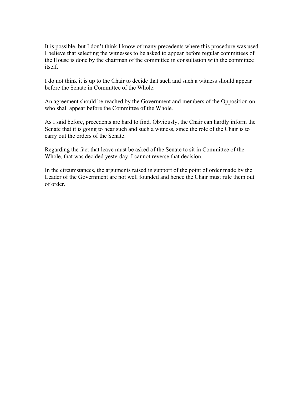It is possible, but I don't think I know of many precedents where this procedure was used. I believe that selecting the witnesses to be asked to appear before regular committees of the House is done by the chairman of the committee in consultation with the committee itself.

I do not think it is up to the Chair to decide that such and such a witness should appear before the Senate in Committee of the Whole.

An agreement should be reached by the Government and members of the Opposition on who shall appear before the Committee of the Whole.

As I said before, precedents are hard to find. Obviously, the Chair can hardly inform the Senate that it is going to hear such and such a witness, since the role of the Chair is to carry out the orders of the Senate.

Regarding the fact that leave must be asked of the Senate to sit in Committee of the Whole, that was decided yesterday. I cannot reverse that decision.

In the circumstances, the arguments raised in support of the point of order made by the Leader of the Government are not well founded and hence the Chair must rule them out of order.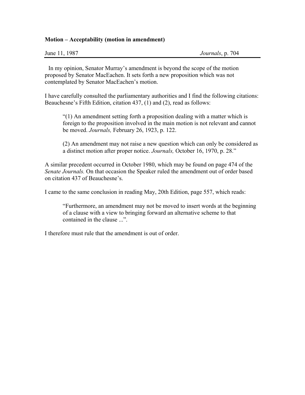#### **Motion – Acceptability (motion in amendment)**

| June 11, 1987 | Journals, p. 704 |
|---------------|------------------|
|---------------|------------------|

In my opinion, Senator Murray's amendment is beyond the scope of the motion proposed by Senator MacEachen. It sets forth a new proposition which was not contemplated by Senator MacEachen's motion.

I have carefully consulted the parliamentary authorities and I find the following citations: Beauchesne's Fifth Edition, citation 437, (1) and (2), read as follows:

"(1) An amendment setting forth a proposition dealing with a matter which is foreign to the proposition involved in the main motion is not relevant and cannot be moved. *Journals,* February 26, 1923, p. 122.

(2) An amendment may not raise a new question which can only be considered as a distinct motion after proper notice. *Journals,* October 16, 1970, p. 28."

A similar precedent occurred in October 1980, which may be found on page 474 of the *Senate Journals.* On that occasion the Speaker ruled the amendment out of order based on citation 437 of Beauchesne's.

I came to the same conclusion in reading May, 20th Edition, page 557, which reads:

"Furthermore, an amendment may not be moved to insert words at the beginning of a clause with a view to bringing forward an alternative scheme to that contained in the clause ...".

I therefore must rule that the amendment is out of order.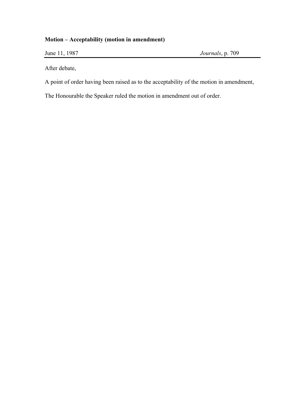### **Motion – Acceptability (motion in amendment)**

June 11, 1987 *Journals*, p. 709

After debate,

A point of order having been raised as to the acceptability of the motion in amendment,

The Honourable the Speaker ruled the motion in amendment out of order.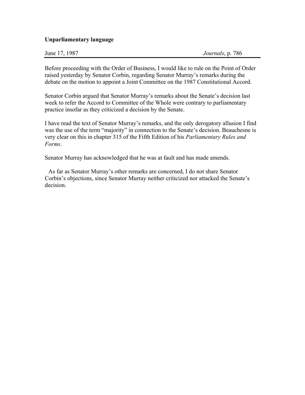#### **Unparliamentary language**

| June 17, 1987 | Journals, p. 786 |
|---------------|------------------|
|---------------|------------------|

Before proceeding with the Order of Business, I would like to rule on the Point of Order raised yesterday by Senator Corbin, regarding Senator Murray's remarks during the debate on the motion to appoint a Joint Committee on the 1987 Constitutional Accord.

Senator Corbin argued that Senator Murray's remarks about the Senate's decision last week to refer the Accord to Committee of the Whole were contrary to parliamentary practice insofar as they criticized a decision by the Senate.

I have read the text of Senator Murray's remarks, and the only derogatory allusion I find was the use of the term "majority" in connection to the Senate's decision. Beauchesne is very clear on this in chapter 315 of the Fifth Edition of his *Parliamentary Rules and Forms.* 

Senator Murray has acknowledged that he was at fault and has made amends.

As far as Senator Murray's other remarks are concerned, I do not share Senator Corbin's objections, since Senator Murray neither criticized nor attacked the Senate's decision.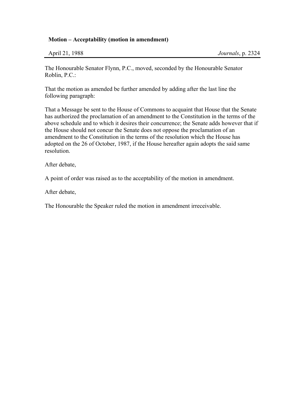#### **Motion – Acceptability (motion in amendment)**

| April 21, 1988 |  |  |
|----------------|--|--|
|                |  |  |

The Honourable Senator Flynn, P.C., moved, seconded by the Honourable Senator Roblin, P.C.:

That the motion as amended be further amended by adding after the last line the following paragraph:

That a Message be sent to the House of Commons to acquaint that House that the Senate has authorized the proclamation of an amendment to the Constitution in the terms of the above schedule and to which it desires their concurrence; the Senate adds however that if the House should not concur the Senate does not oppose the proclamation of an amendment to the Constitution in the terms of the resolution which the House has adopted on the 26 of October, 1987, if the House hereafter again adopts the said same resolution.

After debate,

A point of order was raised as to the acceptability of the motion in amendment.

After debate,

The Honourable the Speaker ruled the motion in amendment irreceivable.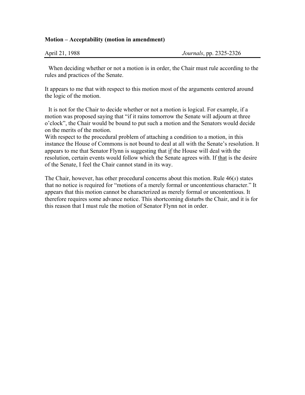#### **Motion – Acceptability (motion in amendment)**

| April 21, 1988 | <i>Journals</i> , pp. 2325-2326 |
|----------------|---------------------------------|
|----------------|---------------------------------|

When deciding whether or not a motion is in order, the Chair must rule according to the rules and practices of the Senate.

It appears to me that with respect to this motion most of the arguments centered around the logic of the motion.

It is not for the Chair to decide whether or not a motion is logical. For example, if a motion was proposed saying that "if it rains tomorrow the Senate will adjourn at three o'clock", the Chair would be bound to put such a motion and the Senators would decide on the merits of the motion.

With respect to the procedural problem of attaching a condition to a motion, in this instance the House of Commons is not bound to deal at all with the Senate's resolution. It appears to me that Senator Flynn is suggesting that if the House will deal with the resolution, certain events would follow which the Senate agrees with. If that is the desire of the Senate, I feel the Chair cannot stand in its way.

The Chair, however, has other procedural concerns about this motion. Rule 46(*s*) states that no notice is required for "motions of a merely formal or uncontentious character." It appears that this motion cannot be characterized as merely formal or uncontentious. It therefore requires some advance notice. This shortcoming disturbs the Chair, and it is for this reason that I must rule the motion of Senator Flynn not in order.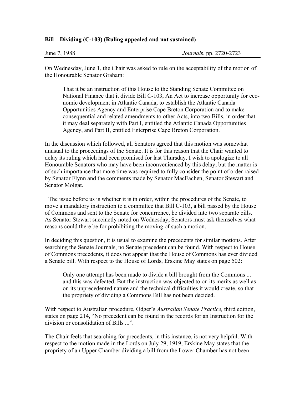#### **Bill – Dividing (C-103) (Ruling appealed and not sustained)**

| <i>Journals</i> , pp. 2720-2723 |
|---------------------------------|
|                                 |

On Wednesday, June 1, the Chair was asked to rule on the acceptability of the motion of the Honourable Senator Graham:

That it be an instruction of this House to the Standing Senate Committee on National Finance that it divide Bill C-103, An Act to increase opportunity for economic development in Atlantic Canada, to establish the Atlantic Canada Opportunities Agency and Enterprise Cape Breton Corporation and to make consequential and related amendments to other Acts, into two Bills, in order that it may deal separately with Part I, entitled the Atlantic Canada Opportunities Agency, and Part II, entitled Enterprise Cape Breton Corporation.

In the discussion which followed, all Senators agreed that this motion was somewhat unusual to the proceedings of the Senate. It is for this reason that the Chair wanted to delay its ruling which had been promised for last Thursday. I wish to apologize to all Honourable Senators who may have been inconvenienced by this delay, but the matter is of such importance that more time was required to fully consider the point of order raised by Senator Flynn and the comments made by Senator MacEachen, Senator Stewart and Senator Molgat.

The issue before us is whether it is in order, within the procedures of the Senate, to move a mandatory instruction to a committee that Bill C-103, a bill passed by the House of Commons and sent to the Senate for concurrence, be divided into two separate bills. As Senator Stewart succinctly noted on Wednesday, Senators must ask themselves what reasons could there be for prohibiting the moving of such a motion.

In deciding this question, it is usual to examine the precedents for similar motions. After searching the Senate Journals, no Senate precedent can be found. With respect to House of Commons precedents, it does not appear that the House of Commons has ever divided a Senate bill. With respect to the House of Lords, Erskine May states on page 502:

Only one attempt has been made to divide a bill brought from the Commons ... and this was defeated. But the instruction was objected to on its merits as well as on its unprecedented nature and the technical difficulties it would create, so that the propriety of dividing a Commons Bill has not been decided.

With respect to Australian procedure, Odger's *Australian Senate Practice,* third edition, states on page 214, "No precedent can be found in the records for an Instruction for the division or consolidation of Bills ...".

The Chair feels that searching for precedents, in this instance, is not very helpful. With respect to the motion made in the Lords on July 29, 1919, Erskine May states that the propriety of an Upper Chamber dividing a bill from the Lower Chamber has not been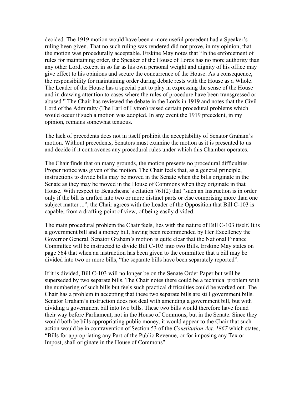decided. The 1919 motion would have been a more useful precedent had a Speaker's ruling been given. That no such ruling was rendered did not prove, in my opinion, that the motion was procedurally acceptable. Erskine May notes that "In the enforcement of rules for maintaining order, the Speaker of the House of Lords has no more authority than any other Lord, except in so far as his own personal weight and dignity of his office may give effect to his opinions and secure the concurrence of the House. As a consequence, the responsibility for maintaining order during debate rests with the House as a Whole. The Leader of the House has a special part to play in expressing the sense of the House and in drawing attention to cases where the rules of procedure have been transgressed or abused." The Chair has reviewed the debate in the Lords in 1919 and notes that the Civil Lord of the Admiralty (The Earl of Lytton) raised certain procedural problems which would occur if such a motion was adopted. In any event the 1919 precedent, in my opinion, remains somewhat tenuous.

The lack of precedents does not in itself prohibit the acceptability of Senator Graham's motion. Without precedents, Senators must examine the motion as it is presented to us and decide if it contravenes any procedural rules under which this Chamber operates.

The Chair finds that on many grounds, the motion presents no procedural difficulties. Proper notice was given of the motion. The Chair feels that, as a general principle, instructions to divide bills may be moved in the Senate when the bills originate in the Senate as they may be moved in the House of Commons when they originate in that House. With respect to Beauchesne's citation 761(2) that "such an Instruction is in order only if the bill is drafted into two or more distinct parts or else comprising more than one subject matter ...", the Chair agrees with the Leader of the Opposition that Bill C-103 is capable, from a drafting point of view, of being easily divided.

The main procedural problem the Chair feels, lies with the nature of Bill C-103 itself. It is a government bill and a money bill, having been recommended by Her Excellency the Governor General. Senator Graham's motion is quite clear that the National Finance Committee will be instructed to divide Bill C-103 into two Bills. Erskine May states on page 564 that when an instruction has been given to the committee that a bill may be divided into two or more bills, "the separate bills have been separately reported".

If it is divided, Bill C-103 will no longer be on the Senate Order Paper but will be superseded by two separate bills. The Chair notes there could be a technical problem with the numbering of such bills but feels such practical difficulties could be worked out. The Chair has a problem in accepting that these two separate bills are still government bills. Senator Graham's instruction does not deal with amending a government bill, but with dividing a government bill into two bills. These two bills would therefore have found their way before Parliament, not in the House of Commons, but in the Senate. Since they would both be bills appropriating public money, it would appear to the Chair that such action would be in contravention of Section 53 of the *Constitution Act, 1867* which states, "Bills for appropriating any Part of the Public Revenue, or for imposing any Tax or Impost, shall originate in the House of Commons".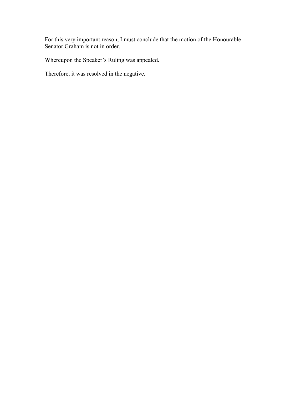For this very important reason, I must conclude that the motion of the Honourable Senator Graham is not in order.

Whereupon the Speaker's Ruling was appealed.

Therefore, it was resolved in the negative.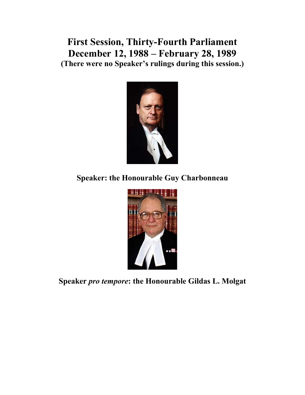**First Session, Thirty-Fourth Parliament December 12, 1988 – February 28, 1989 (There were no Speaker's rulings during this session.)** 



**Speaker: the Honourable Guy Charbonneau** 



**Speaker** *pro tempore***: the Honourable Gildas L. Molgat**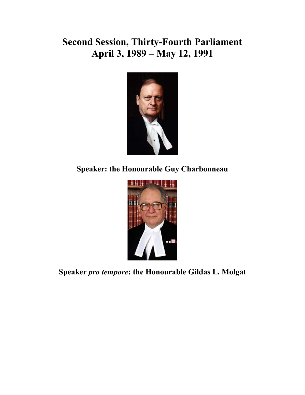# **Second Session, Thirty-Fourth Parliament April 3, 1989 – May 12, 1991**



**Speaker: the Honourable Guy Charbonneau** 



**Speaker** *pro tempore***: the Honourable Gildas L. Molgat**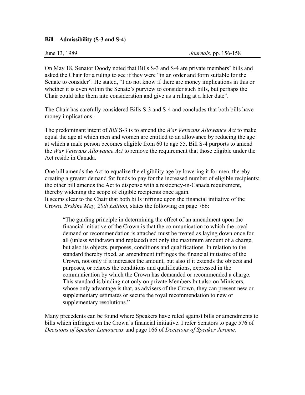#### **Bill – Admissibility (S-3 and S-4)**

On May 18, Senator Doody noted that Bills S-3 and S-4 are private members' bills and asked the Chair for a ruling to see if they were "in an order and form suitable for the Senate to consider". He stated, "I do not know if there are money implications in this or whether it is even within the Senate's purview to consider such bills, but perhaps the Chair could take them into consideration and give us a ruling at a later date".

The Chair has carefully considered Bills S-3 and S-4 and concludes that both bills have money implications.

The predominant intent of *Bill* S-3 is to amend the *War Veterans Allowance Act* to make equal the age at which men and women are entitled to an allowance by reducing the age at which a male person becomes eligible from 60 to age 55. Bill S-4 purports to amend the *War Veterans Allowance Act* to remove the requirement that those eligible under the Act reside in Canada.

One bill amends the Act to equalize the eligibility age by lowering it for men, thereby creating a greater demand for funds to pay for the increased number of eligible recipients; the other bill amends the Act to dispense with a residency-in-Canada requirement, thereby widening the scope of eligible recipients once again. It seems clear to the Chair that both bills infringe upon the financial initiative of the Crown. *Erskine May, 20th Edition,* states the following on page 766:

"The guiding principle in determining the effect of an amendment upon the financial initiative of the Crown is that the communication to which the royal demand or recommendation is attached must be treated as laying down once for all (unless withdrawn and replaced) not only the maximum amount of a charge, but also its objects, purposes, conditions and qualifications. In relation to the standard thereby fixed, an amendment infringes the financial initiative of the Crown, not only if it increases the amount, but also if it extends the objects and purposes, or relaxes the conditions and qualifications, expressed in the communication by which the Crown has demanded or recommended a charge. This standard is binding not only on private Members but also on Ministers, whose only advantage is that, as advisers of the Crown, they can present new or supplementary estimates or secure the royal recommendation to new or supplementary resolutions."

Many precedents can be found where Speakers have ruled against bills or amendments to bills which infringed on the Crown's financial initiative. I refer Senators to page 576 of *Decisions of Speaker Lamoureux* and page 166 of *Decisions of Speaker Jerome.*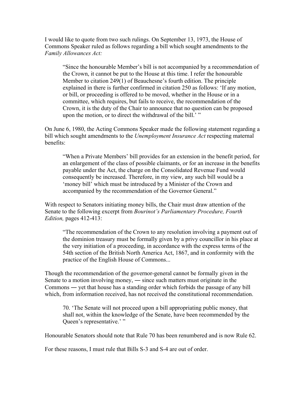I would like to quote from two such rulings. On September 13, 1973, the House of Commons Speaker ruled as follows regarding a bill which sought amendments to the *Family Allowances Act:* 

"Since the honourable Member's bill is not accompanied by a recommendation of the Crown, it cannot be put to the House at this time. I refer the honourable Member to citation 249(1) of Beauchesne's fourth edition. The principle explained in there is further confirmed in citation 250 as follows: 'If any motion, or bill, or proceeding is offered to be moved, whether in the House or in a committee, which requires, but fails to receive, the recommendation of the Crown, it is the duty of the Chair to announce that no question can be proposed upon the motion, or to direct the withdrawal of the bill.' "

On June 6, 1980, the Acting Commons Speaker made the following statement regarding a bill which sought amendments to the *Unemployment Insurance Act* respecting maternal benefits:

"When a Private Members' bill provides for an extension in the benefit period, for an enlargement of the class of possible claimants, or for an increase in the benefits payable under the Act, the charge on the Consolidated Revenue Fund would consequently be increased. Therefore, in my view, any such bill would be a 'money bill' which must be introduced by a Minister of the Crown and accompanied by the recommendation of the Governor General."

With respect to Senators initiating money bills, the Chair must draw attention of the Senate to the following excerpt from *Bourinot's Parliamentary Procedure, Fourth Edition,* pages 412-413:

"The recommendation of the Crown to any resolution involving a payment out of the dominion treasury must be formally given by a privy councillor in his place at the very initiation of a proceeding, in accordance with the express terms of the 54th section of the British North America Act, 1867, and in conformity with the practice of the English House of Commons...

Though the recommendation of the governor-general cannot be formally given in the Senate to a motion involving money, ― since such matters must originate in the Commons ― yet that house has a standing order which forbids the passage of any bill which, from information received, has not received the constitutional recommendation.

70. 'The Senate will not proceed upon a bill appropriating public money, that shall not, within the knowledge of the Senate, have been recommended by the Queen's representative.' "

Honourable Senators should note that Rule 70 has been renumbered and is now Rule 62.

For these reasons, I must rule that Bills S-3 and S-4 are out of order.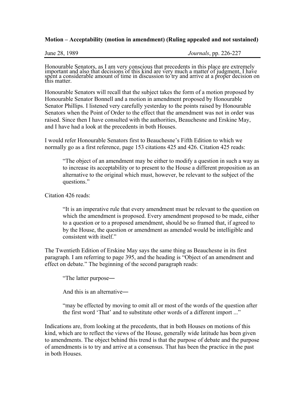#### **Motion – Acceptability (motion in amendment) (Ruling appealed and not sustained)**

Honourable Senators, as I am very conscious that precedents in this place are extremely important and also that decisions of this kind are very much a matter of judgment, I have spent a considerable amount of time in discu

Honourable Senators will recall that the subject takes the form of a motion proposed by Honourable Senator Bonnell and a motion in amendment proposed by Honourable Senator Phillips. I listened very carefully yesterday to the points raised by Honourable Senators when the Point of Order to the effect that the amendment was not in order was raised. Since then I have consulted with the authorities, Beauchesne and Erskine May, and I have had a look at the precedents in both Houses.

I would refer Honourable Senators first to Beauchesne's Fifth Edition to which we normally go as a first reference, page 153 citations 425 and 426. Citation 425 reads:

"The object of an amendment may be either to modify a question in such a way as to increase its acceptability or to present to the House a different proposition as an alternative to the original which must, however, be relevant to the subject of the questions."

Citation 426 reads:

"It is an imperative rule that every amendment must be relevant to the question on which the amendment is proposed. Every amendment proposed to be made, either to a question or to a proposed amendment, should be so framed that, if agreed to by the House, the question or amendment as amended would be intelligible and consistent with itself."

The Twentieth Edition of Erskine May says the same thing as Beauchesne in its first paragraph. I am referring to page 395, and the heading is "Object of an amendment and effect on debate." The beginning of the second paragraph reads:

"The latter purpose―

And this is an alternative―

"may be effected by moving to omit all or most of the words of the question after the first word 'That' and to substitute other words of a different import ..."

Indications are, from looking at the precedents, that in both Houses on motions of this kind, which are to reflect the views of the House, generally wide latitude has been given to amendments. The object behind this trend is that the purpose of debate and the purpose of amendments is to try and arrive at a consensus. That has been the practice in the past in both Houses.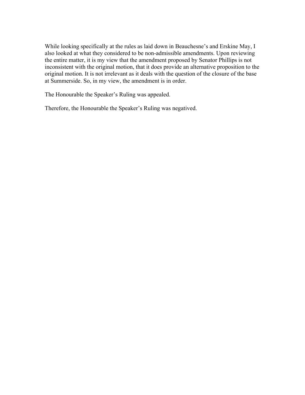While looking specifically at the rules as laid down in Beauchesne's and Erskine May, I also looked at what they considered to be non-admissible amendments. Upon reviewing the entire matter, it is my view that the amendment proposed by Senator Phillips is not inconsistent with the original motion, that it does provide an alternative proposition to the original motion. It is not irrelevant as it deals with the question of the closure of the base at Summerside. So, in my view, the amendment is in order.

The Honourable the Speaker's Ruling was appealed.

Therefore, the Honourable the Speaker's Ruling was negatived.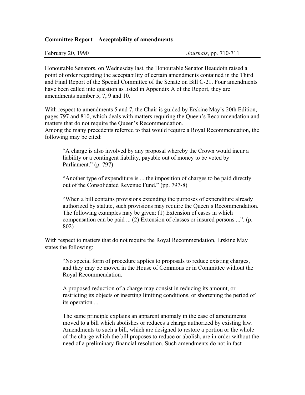#### **Committee Report – Acceptability of amendments**

| February 20, 1990 |  |  |
|-------------------|--|--|
|-------------------|--|--|

Honourable Senators, on Wednesday last, the Honourable Senator Beaudoin raised a point of order regarding the acceptability of certain amendments contained in the Third and Final Report of the Special Committee of the Senate on Bill C-21. Four amendments have been called into question as listed in Appendix A of the Report, they are amendments number 5, 7, 9 and 10.

With respect to amendments 5 and 7, the Chair is guided by Erskine May's 20th Edition, pages 797 and 810, which deals with matters requiring the Queen's Recommendation and matters that do not require the Queen's Recommendation.

Among the many precedents referred to that would require a Royal Recommendation, the following may be cited:

"A charge is also involved by any proposal whereby the Crown would incur a liability or a contingent liability, payable out of money to be voted by Parliament." (p. 797)

"Another type of expenditure is ... the imposition of charges to be paid directly out of the Consolidated Revenue Fund." (pp. 797-8)

"When a bill contains provisions extending the purposes of expenditure already authorized by statute, such provisions may require the Queen's Recommendation. The following examples may be given: (1) Extension of cases in which compensation can be paid ... (2) Extension of classes or insured persons ...". (p. 802)

With respect to matters that do not require the Royal Recommendation, Erskine May states the following:

"No special form of procedure applies to proposals to reduce existing charges, and they may be moved in the House of Commons or in Committee without the Royal Recommendation.

A proposed reduction of a charge may consist in reducing its amount, or restricting its objects or inserting limiting conditions, or shortening the period of its operation ...

The same principle explains an apparent anomaly in the case of amendments moved to a bill which abolishes or reduces a charge authorized by existing law. Amendments to such a bill, which are designed to restore a portion or the whole of the charge which the bill proposes to reduce or abolish, are in order without the need of a preliminary financial resolution. Such amendments do not in fact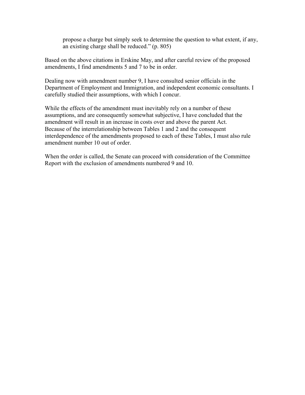propose a charge but simply seek to determine the question to what extent, if any, an existing charge shall be reduced." (p. 805)

Based on the above citations in Erskine May, and after careful review of the proposed amendments, I find amendments 5 and 7 to be in order.

Dealing now with amendment number 9, I have consulted senior officials in the Department of Employment and Immigration, and independent economic consultants. I carefully studied their assumptions, with which I concur.

While the effects of the amendment must inevitably rely on a number of these assumptions, and are consequently somewhat subjective, I have concluded that the amendment will result in an increase in costs over and above the parent Act. Because of the interrelationship between Tables 1 and 2 and the consequent interdependence of the amendments proposed to each of these Tables, I must also rule amendment number 10 out of order.

When the order is called, the Senate can proceed with consideration of the Committee Report with the exclusion of amendments numbered 9 and 10.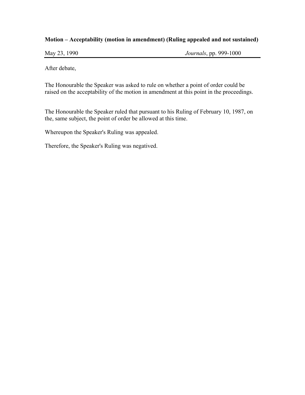#### **Motion – Acceptability (motion in amendment) (Ruling appealed and not sustained)**

May 23, 1990 *Journals*, pp. 999-1000

After debate,

The Honourable the Speaker was asked to rule on whether a point of order could be raised on the acceptability of the motion in amendment at this point in the proceedings.

The Honourable the Speaker ruled that pursuant to his Ruling of February 10, 1987, on the, same subject, the point of order be allowed at this time.

Whereupon the Speaker's Ruling was appealed.

Therefore, the Speaker's Ruling was negatived.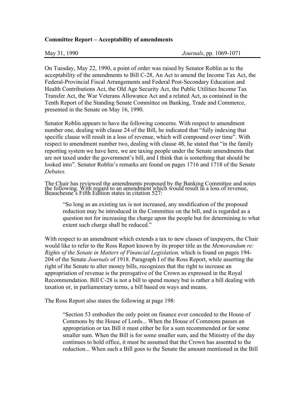#### **Committee Report – Acceptability of amendments**

On Tuesday, May 22, 1990, a point of order was raised by Senator Roblin as to the acceptability of the amendments to Bill C-28, An Act to amend the Income Tax Act, the Federal-Provincial Fiscal Arrangements and Federal Post-Secondary Education and Health Contributions Act, the Old Age Security Act, the Public Utilities Income Tax Transfer Act, the War Veterans Allowance Act and a related Act, as contained in the Tenth Report of the Standing Senate Committee on Banking, Trade and Commerce, presented in the Senate on May 16, 1990.

Senator Roblin appears to have the following concerns. With respect to amendment number one, dealing with clause 24 of the Bill, he indicated that "fully indexing that specific clause will result in a loss of revenue, which will compound over time". With respect to amendment number two, dealing with clause 48, he stated that "in the family reporting system we have here, we are taxing people under the Senate amendments that are not taxed under the government's bill, and I think that is something that should be looked into". Senator Roblin's remarks are found on pages 1716 and 1718 of the Senate *Debates.* 

The Chair has reviewed the amendments proposed by the Banking Committee and notes the following. With regard to an amendment which would result in a loss of revenue, Beauchesne's Fifth Edition states in citation 527:

"So long as an existing tax is not increased, any modification of the proposed reduction may be introduced in the Committee on the bill, and is regarded as a question not for increasing the charge upon the people but for determining to what extent such charge shall be reduced."

With respect to an amendment which extends a tax to new classes of taxpayers, the Chair would like to refer to the Ross Report known by its proper title as the *Memorandum re: Rights of the Senate in Matters of Financial Legislation,* which is found on pages 194- 204 of the Senate *Journals* of 1918. Paragraph I of the Ross Report, while asserting the right of the Senate to alter money bills, recognizes that the right to increase an appropriation of revenue is the prerogative of the Crown as expressed in the Royal Recommendation. Bill C-28 is not a bill to spend money but is rather a bill dealing with taxation or, in parliamentary terms, a bill based on ways and means.

The Ross Report also states the following at page 198:

"Section 53 embodies the only point on finance ever conceded to the House of Commons by the House of Lords... When the House of Commons passes an appropriation or tax Bill it must either be for a sum recommended or for some smaller sum. When the Bill is for some smaller sum, and the Ministry of the day continues to hold office, it must be assumed that the Crown has assented to the reduction... When such a Bill goes to the Senate the amount mentioned in the Bill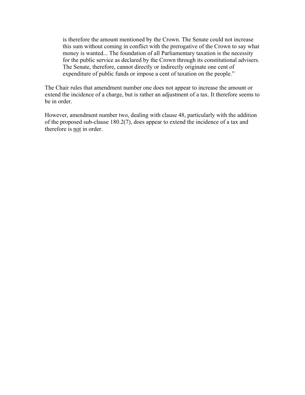is therefore the amount mentioned by the Crown. The Senate could not increase this sum without coming in conflict with the prerogative of the Crown to say what money is wanted... The foundation of all Parliamentary taxation is the necessity for the public service as declared by the Crown through its constitutional advisers. The Senate, therefore, cannot directly or indirectly originate one cent of expenditure of public funds or impose a cent of taxation on the people."

The Chair rules that amendment number one does not appear to increase the amount or extend the incidence of a charge, but is rather an adjustment of a tax. It therefore seems to be in order.

However, amendment number two, dealing with clause 48, particularly with the addition of the proposed sub-clause 180.2(7), does appear to extend the incidence of a tax and therefore is not in order.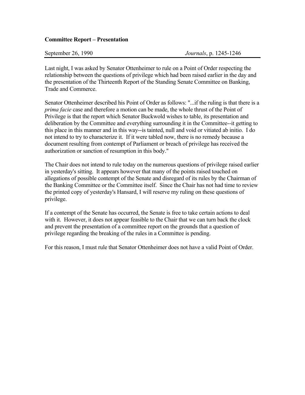#### **Committee Report – Presentation**

| September 26, 1990 |
|--------------------|
|--------------------|

Last night, I was asked by Senator Ottenheimer to rule on a Point of Order respecting the relationship between the questions of privilege which had been raised earlier in the day and the presentation of the Thirteenth Report of the Standing Senate Committee on Banking, Trade and Commerce.

Senator Ottenheimer described his Point of Order as follows: "...if the ruling is that there is a *prima facie* case and therefore a motion can be made, the whole thrust of the Point of Privilege is that the report which Senator Buckwold wishes to table, its presentation and deliberation by the Committee and everything surrounding it in the Committee--it getting to this place in this manner and in this way--is tainted, null and void or vitiated ab initio. I do not intend to try to characterize it. If it were tabled now, there is no remedy because a document resulting from contempt of Parliament or breach of privilege has received the authorization or sanction of resumption in this body."

The Chair does not intend to rule today on the numerous questions of privilege raised earlier in yesterday's sitting. It appears however that many of the points raised touched on allegations of possible contempt of the Senate and disregard of its rules by the Chairman of the Banking Committee or the Committee itself. Since the Chair has not had time to review the printed copy of yesterday's Hansard, I will reserve my ruling on these questions of privilege.

If a contempt of the Senate has occurred, the Senate is free to take certain actions to deal with it. However, it does not appear feasible to the Chair that we can turn back the clock and prevent the presentation of a committee report on the grounds that a question of privilege regarding the breaking of the rules in a Committee is pending.

For this reason, I must rule that Senator Ottenheimer does not have a valid Point of Order.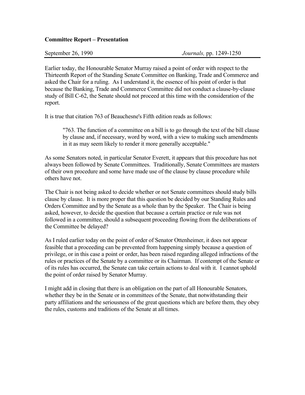#### **Committee Report – Presentation**

Earlier today, the Honourable Senator Murray raised a point of order with respect to the Thirteenth Report of the Standing Senate Committee on Banking, Trade and Commerce and asked the Chair for a ruling. As I understand it, the essence of his point of order is that because the Banking, Trade and Commerce Committee did not conduct a clause-by-clause study of Bill C-62, the Senate should not proceed at this time with the consideration of the report.

It is true that citation 763 of Beauchesne's Fifth edition reads as follows:

"763. The function of a committee on a bill is to go through the text of the bill clause by clause and, if necessary, word by word, with a view to making such amendments in it as may seem likely to render it more generally acceptable."

As some Senators noted, in particular Senator Everett, it appears that this procedure has not always been followed by Senate Committees. Traditionally, Senate Committees are masters of their own procedure and some have made use of the clause by clause procedure while others have not.

The Chair is not being asked to decide whether or not Senate committees should study bills clause by clause. It is more proper that this question be decided by our Standing Rules and Orders Committee and by the Senate as a whole than by the Speaker. The Chair is being asked, however, to decide the question that because a certain practice or rule was not followed in a committee, should a subsequent proceeding flowing from the deliberations of the Committee be delayed?

As I ruled earlier today on the point of order of Senator Ottenheimer, it does not appear feasible that a proceeding can be prevented from happening simply because a question of privilege, or in this case a point or order, has been raised regarding alleged infractions of the rules or practices of the Senate by a committee or its Chairman. If contempt of the Senate or of its rules has occurred, the Senate can take certain actions to deal with it. I cannot uphold the point of order raised by Senator Murray.

I might add in closing that there is an obligation on the part of all Honourable Senators, whether they be in the Senate or in committees of the Senate, that notwithstanding their party affiliations and the seriousness of the great questions which are before them, they obey the rules, customs and traditions of the Senate at all times.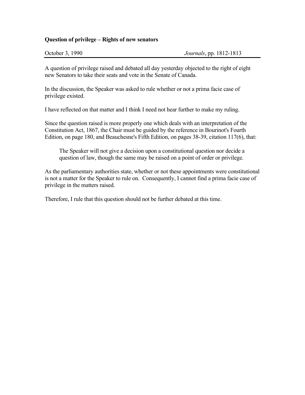#### **Question of privilege – Rights of new senators**

A question of privilege raised and debated all day yesterday objected to the right of eight new Senators to take their seats and vote in the Senate of Canada.

In the discussion, the Speaker was asked to rule whether or not a prima facie case of privilege existed.

I have reflected on that matter and I think I need not hear further to make my ruling.

Since the question raised is more properly one which deals with an interpretation of the Constitution Act, 1867, the Chair must be guided by the reference in Bourinot's Fourth Edition, on page 180, and Beauchesne's Fifth Edition, on pages 38-39, citation 117(6), that:

The Speaker will not give a decision upon a constitutional question nor decide a question of law, though the same may be raised on a point of order or privilege.

As the parliamentary authorities state, whether or not these appointments were constitutional is not a matter for the Speaker to rule on. Consequently, I cannot find a prima facie case of privilege in the matters raised.

Therefore, I rule that this question should not be further debated at this time.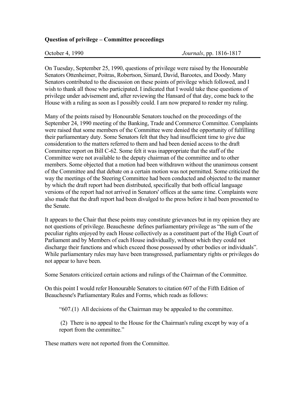#### **Question of privilege – Committee proceedings**

On Tuesday, September 25, 1990, questions of privilege were raised by the Honourable Senators Ottenheimer, Poitras, Robertson, Simard, David, Barootes, and Doody. Many Senators contributed to the discussion on these points of privilege which followed, and I wish to thank all those who participated. I indicated that I would take these questions of privilege under advisement and, after reviewing the Hansard of that day, come back to the House with a ruling as soon as I possibly could. I am now prepared to render my ruling.

Many of the points raised by Honourable Senators touched on the proceedings of the September 24, 1990 meeting of the Banking, Trade and Commerce Committee. Complaints were raised that some members of the Committee were denied the opportunity of fulfilling their parliamentary duty. Some Senators felt that they had insufficient time to give due consideration to the matters referred to them and had been denied access to the draft Committee report on Bill C-62. Some felt it was inappropriate that the staff of the Committee were not available to the deputy chairman of the committee and to other members. Some objected that a motion had been withdrawn without the unanimous consent of the Committee and that debate on a certain motion was not permitted. Some criticized the way the meetings of the Steering Committee had been conducted and objected to the manner by which the draft report had been distributed, specifically that both official language versions of the report had not arrived in Senators' offices at the same time. Complaints were also made that the draft report had been divulged to the press before it had been presented to the Senate.

It appears to the Chair that these points may constitute grievances but in my opinion they are not questions of privilege. Beauchesne defines parliamentary privilege as "the sum of the peculiar rights enjoyed by each House collectively as a constituent part of the High Court of Parliament and by Members of each House individually, without which they could not discharge their functions and which exceed those possessed by other bodies or individuals". While parliamentary rules may have been transgressed, parliamentary rights or privileges do not appear to have been.

Some Senators criticized certain actions and rulings of the Chairman of the Committee.

On this point I would refer Honourable Senators to citation 607 of the Fifth Edition of Beauchesne's Parliamentary Rules and Forms, which reads as follows:

"607.(1) All decisions of the Chairman may be appealed to the committee.

 (2) There is no appeal to the House for the Chairman's ruling except by way of a report from the committee."

These matters were not reported from the Committee.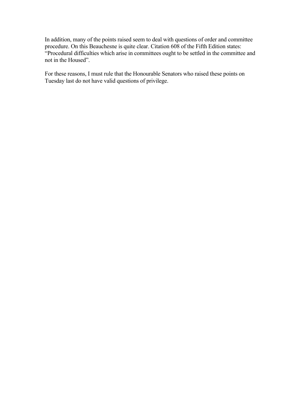In addition, many of the points raised seem to deal with questions of order and committee procedure. On this Beauchesne is quite clear. Citation 608 of the Fifth Edition states: "Procedural difficulties which arise in committees ought to be settled in the committee and not in the Housed".

For these reasons, I must rule that the Honourable Senators who raised these points on Tuesday last do not have valid questions of privilege.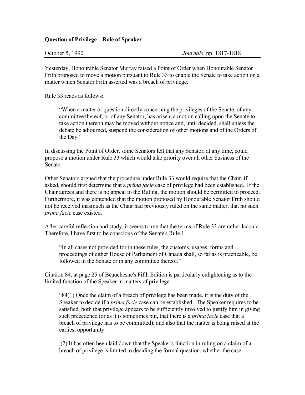#### **Question of Privilege – Role of Speaker**

Yesterday, Honourable Senator Murray raised a Point of Order when Honourable Senator Frith proposed to move a motion pursuant to Rule 33 to enable the Senate to take action on a matter which Senator Frith asserted was a breach of privilege.

Rule 33 reads as follows:

"When a matter or question directly concerning the privileges of the Senate, of any committee thereof, or of any Senator, has arisen, a motion calling upon the Senate to take action thereon may be moved without notice and, until decided, shall unless the debate be adjourned, suspend the consideration of other motions and of the Orders of the Day."

In discussing the Point of Order, some Senators felt that any Senator, at any time, could propose a motion under Rule 33 which would take priority over all other business of the Senate.

Other Senators argued that the procedure under Rule 33 would require that the Chair, if asked, should first determine that a *prima facie* case of privilege had been established. If the Chair agrees and there is no appeal to the Ruling, the motion should be permitted to proceed. Furthermore, it was contended that the motion proposed by Honourable Senator Frith should not be received inasmuch as the Chair had previously ruled on the same matter, that no such *prima facie* case existed.

After careful reflection and study, it seems to me that the terms of Rule 33 are rather laconic. Therefore, I have first to be conscious of the Senate's Rule 1.

"In all cases not provided for in these rules, the customs, usages, forms and proceedings of either House of Parliament of Canada shall, so far as is practicable, be followed in the Senate or in any committee thereof."

Citation 84, at page 25 of Beauchesne's Fifth Edition is particularly enlightening as to the limited function of the Speaker in matters of privilege:

"84(1) Once the claim of a breach of privilege has been made, it is the duty of the Speaker to decide if a *prima facie* case can be established. The Speaker requires to be satisfied, both that privilege appears to be sufficiently involved to justify him in giving such precedence (or as it is sometimes put, that there is a *prima facie* case that a breach of privilege has to be committed); and also that the matter is being raised at the earliest opportunity.

 (2) It has often been laid down that the Speaker's function in ruling on a claim of a breach of privilege is limited to deciding the formal question, whether the case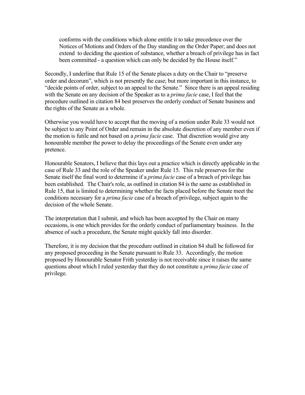conforms with the conditions which alone entitle it to take precedence over the Notices of Motions and Orders of the Day standing on the Order Paper; and does not extend to deciding the question of substance, whether a breach of privilege has in fact been committed - a question which can only be decided by the House itself."

Secondly, I underline that Rule 15 of the Senate places a duty on the Chair to "preserve order and decorum", which is not presently the case; but more important in this instance, to "decide points of order, subject to an appeal to the Senate." Since there is an appeal residing with the Senate on any decision of the Speaker as to a *prima facie* case, I feel that the procedure outlined in citation 84 best preserves the orderly conduct of Senate business and the rights of the Senate as a whole.

Otherwise you would have to accept that the moving of a motion under Rule 33 would not be subject to any Point of Order and remain in the absolute discretion of any member even if the motion is futile and not based on a *prima facie* case. That discretion would give any honourable member the power to delay the proceedings of the Senate even under any pretence.

Honourable Senators, I believe that this lays out a practice which is directly applicable in the case of Rule 33 and the role of the Speaker under Rule 15. This rule preserves for the Senate itself the final word to determine if a *prima facie* case of a breach of privilege has been established. The Chair's role, as outlined in citation 84 is the same as established in Rule 15, that is limited to determining whether the facts placed before the Senate meet the conditions necessary for a *prima facie* case of a breach of privilege, subject again to the decision of the whole Senate.

The interpretation that I submit, and which has been accepted by the Chair on many occasions, is one which provides for the orderly conduct of parliamentary business. In the absence of such a procedure, the Senate might quickly fall into disorder.

Therefore, it is my decision that the procedure outlined in citation 84 shall be followed for any proposed proceeding in the Senate pursuant to Rule 33. Accordingly, the motion proposed by Honourable Senator Frith yesterday is not receivable since it raises the same questions about which I ruled yesterday that they do not constitute a *prima facie* case of privilege.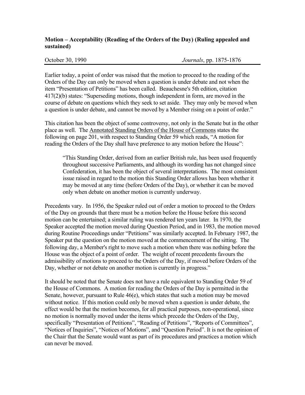### **Motion – Acceptability (Reading of the Orders of the Day) (Ruling appealed and sustained)**

October 30, 1990 *Journals*, pp. 1875-1876

Earlier today, a point of order was raised that the motion to proceed to the reading of the Orders of the Day can only be moved when a question is under debate and not when the item "Presentation of Petitions" has been called. Beauchesne's 5th edition, citation 417(2)(b) states: "Superseding motions, though independent in form, are moved in the course of debate on questions which they seek to set aside. They may only be moved when a question is under debate, and cannot be moved by a Member rising on a point of order."

This citation has been the object of some controversy, not only in the Senate but in the other place as well. The Annotated Standing Orders of the House of Commons states the following on page 201, with respect to Standing Order 59 which reads, "A motion for reading the Orders of the Day shall have preference to any motion before the House":

"This Standing Order, derived from an earlier British rule, has been used frequently throughout successive Parliaments, and although its wording has not changed since Confederation, it has been the object of several interpretations. The most consistent issue raised in regard to the motion this Standing Order allows has been whether it may be moved at any time (before Orders of the Day), or whether it can be moved only when debate on another motion is currently underway.

Precedents vary. In 1956, the Speaker ruled out of order a motion to proceed to the Orders of the Day on grounds that there must be a motion before the House before this second motion can be entertained; a similar ruling was rendered ten years later. In 1970, the Speaker accepted the motion moved during Question Period, and in 1983, the motion moved during Routine Proceedings under "Petitions" was similarly accepted. In February 1987, the Speaker put the question on the motion moved at the commencement of the sitting. The following day, a Member's right to move such a motion when there was nothing before the House was the object of a point of order. The weight of recent precedents favours the admissibility of motions to proceed to the Orders of the Day, if moved before Orders of the Day, whether or not debate on another motion is currently in progress."

It should be noted that the Senate does not have a rule equivalent to Standing Order 59 of the House of Commons. A motion for reading the Orders of the Day is permitted in the Senate, however, pursuant to Rule 46(e), which states that such a motion may be moved without notice. If this motion could only be moved when a question is under debate, the effect would be that the motion becomes, for all practical purposes, non-operational, since no motion is normally moved under the items which precede the Orders of the Day, specifically "Presentation of Petitions", "Reading of Petitions", "Reports of Committees", "Notices of Inquiries", "Notices of Motions", and "Question Period". It is not the opinion of the Chair that the Senate would want as part of its procedures and practices a motion which can never be moved.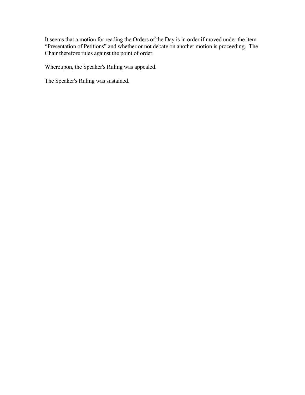It seems that a motion for reading the Orders of the Day is in order if moved under the item "Presentation of Petitions" and whether or not debate on another motion is proceeding. The Chair therefore rules against the point of order.

Whereupon, the Speaker's Ruling was appealed.

The Speaker's Ruling was sustained.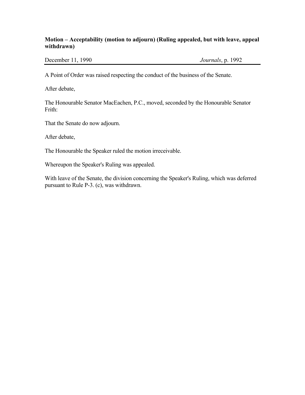### **Motion – Acceptability (motion to adjourn) (Ruling appealed, but with leave, appeal withdrawn)**

December 11, 1990 *Journals*, p. 1992

A Point of Order was raised respecting the conduct of the business of the Senate.

After debate,

The Honourable Senator MacEachen, P.C., moved, seconded by the Honourable Senator Frith:

That the Senate do now adjourn.

After debate,

The Honourable the Speaker ruled the motion irreceivable.

Whereupon the Speaker's Ruling was appealed.

With leave of the Senate, the division concerning the Speaker's Ruling, which was deferred pursuant to Rule P-3. (c), was withdrawn.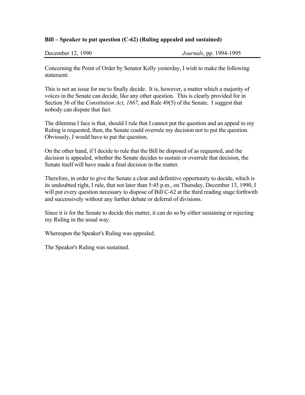#### **Bill – Speaker to put question (C-62) (Ruling appealed and sustained)**

| December 12, 1990 | <i>Journals</i> , pp. 1994-1995 |
|-------------------|---------------------------------|
|                   |                                 |

Concerning the Point of Order by Senator Kelly yesterday, I wish to make the following statement:

This is not an issue for me to finally decide. It is, however, a matter which a majority of voices in the Senate can decide, like any other question. This is clearly provided for in Section 36 of the *Constitution Act, 1867*, and Rule 49(5) of the Senate. I suggest that nobody can dispute that fact.

The dilemma I face is that, should I rule that I cannot put the question and an appeal to my Ruling is requested, then, the Senate could overrule my decision not to put the question. Obviously, I would have to put the question.

On the other hand, if I decide to rule that the Bill be disposed of as requested, and the decision is appealed, whether the Senate decides to sustain or overrule that decision, the Senate itself will have made a final decision in the matter.

Therefore, in order to give the Senate a clear and definitive opportunity to decide, which is its undoubted right, I rule, that not later than 5:45 p.m., on Thursday, December 13, 1990, I will put every question necessary to dispose of Bill C-62 at the third reading stage forthwith and successively without any further debate or deferral of divisions.

Since it is for the Senate to decide this matter, it can do so by either sustaining or rejecting my Ruling in the usual way.

Whereupon the Speaker's Ruling was appealed.

The Speaker's Ruling was sustained.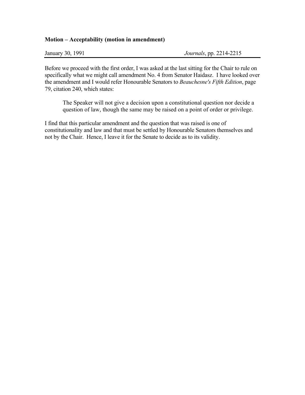#### **Motion – Acceptability (motion in amendment)**

Before we proceed with the first order, I was asked at the last sitting for the Chair to rule on specifically what we might call amendment No. 4 from Senator Haidasz. I have looked over the amendment and I would refer Honourable Senators to *Beauchesne's Fifth Edition*, page 79, citation 240, which states:

The Speaker will not give a decision upon a constitutional question nor decide a question of law, though the same may be raised on a point of order or privilege.

I find that this particular amendment and the question that was raised is one of constitutionality and law and that must be settled by Honourable Senators themselves and not by the Chair. Hence, I leave it for the Senate to decide as to its validity.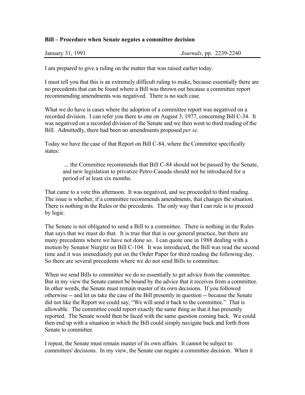#### **Bill – Procedure when Senate negates a committee decision**

| January 31, 1991 | <i>Journals</i> , pp. 2239-2240 |
|------------------|---------------------------------|
|------------------|---------------------------------|

I am prepared to give a ruling on the matter that was raised earlier today.

I must tell you that this is an extremely difficult ruling to make, because essentially there are no precedents that can be found where a Bill was thrown out because a committee report recommending amendments was negatived. There is no such case.

What we do have is cases where the adoption of a committee report was negatived on a recorded division. I can refer you there to one on August 3, 1977, concerning Bill C-34. It was negatived on a recorded division of the Senate and we then went to third reading of the Bill. Admittedly, there had been no amendments proposed *per se*.

Today we have the case of that Report on Bill C-84, where the Committee specifically states:

 ... the Committee recommends that Bill C-84 should not be passed by the Senate, and new legislation to privatize Petro-Canada should not be introduced for a period of at least six months.

That came to a vote this afternoon. It was negatived, and we proceeded to third reading. The issue is whether, if a committee recommends amendments, that changes the situation. There is nothing in the Rules or the precedents. The only way that I can rule is to proceed by logic.

The Senate is not obligated to send a Bill to a committee. There is nothing in the Rules that says that we must do that. It is true that that is our general practice, but there are many precedents where we have not done so. I can quote one in 1988 dealing with a motion by Senator Nurgitz on Bill C-104. It was introduced, the Bill was read the second time and it was immediately put on the Order Paper for third reading the following day. So there are several precedents where we do not send Bills to committee.

When we send Bills to committee we do so essentially to get advice from the committee. But in my view the Senate cannot be bound by the advice that it receives from a committee. In other words, the Senate must remain master of its own decisions. If you followed otherwise -- and let us take the case of the Bill presently in question -- because the Senate did not like the Report we could say, "We will send it back to the committee." That is allowable. The committee could report exactly the same thing as that it has presently reported. The Senate would then be faced with the same question coming back. We could then end up with a situation in which the Bill could simply navigate back and forth from Senate to committee.

I repeat, the Senate must remain master of its own affairs. It cannot be subject to committees' decisions. In my view, the Senate can negate a committee decision. When it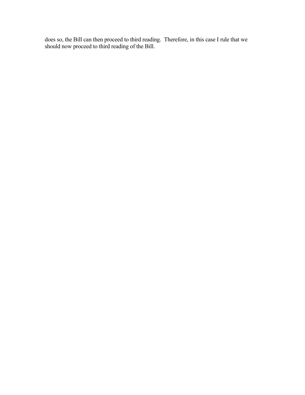does so, the Bill can then proceed to third reading. Therefore, in this case I rule that we should now proceed to third reading of the Bill.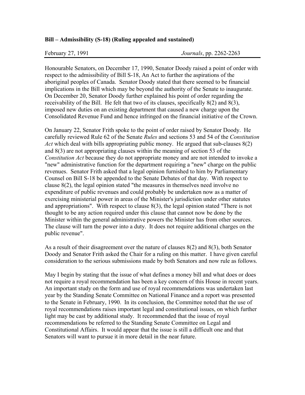#### **Bill – Admissibility (S-18) (Ruling appealed and sustained)**

Honourable Senators, on December 17, 1990, Senator Doody raised a point of order with respect to the admissibility of Bill S-18, An Act to further the aspirations of the aboriginal peoples of Canada. Senator Doody stated that there seemed to be financial implications in the Bill which may be beyond the authority of the Senate to inaugurate. On December 20, Senator Doody further explained his point of order regarding the receivability of the Bill. He felt that two of its clauses, specifically 8(2) and 8(3), imposed new duties on an existing department that caused a new charge upon the Consolidated Revenue Fund and hence infringed on the financial initiative of the Crown.

On January 22, Senator Frith spoke to the point of order raised by Senator Doody. He carefully reviewed Rule 62 of the Senate *Rules* and sections 53 and 54 of the *Constitution Act* which deal with bills appropriating public money. He argued that sub-clauses 8(2) and 8(3) are not appropriating clauses within the meaning of section 53 of the *Constitution Act* because they do not appropriate money and are not intended to invoke a "new" administrative function for the department requiring a "new" charge on the public revenues. Senator Frith asked that a legal opinion furnished to him by Parliamentary Counsel on Bill S-18 be appended to the Senate Debates of that day. With respect to clause 8(2), the legal opinion stated "the measures in themselves need involve no expenditure of public revenues and could probably be undertaken now as a matter of exercising ministerial power in areas of the Minister's jurisdiction under other statutes and appropriations". With respect to clause 8(3), the legal opinion stated "There is not thought to be any action required under this clause that cannot now be done by the Minister within the general administrative powers the Minister has from other sources. The clause will turn the power into a duty. It does not require additional charges on the public revenue".

As a result of their disagreement over the nature of clauses 8(2) and 8(3), both Senator Doody and Senator Frith asked the Chair for a ruling on this matter. I have given careful consideration to the serious submissions made by both Senators and now rule as follows.

May I begin by stating that the issue of what defines a money bill and what does or does not require a royal recommendation has been a key concern of this House in recent years. An important study on the form and use of royal recommendations was undertaken last year by the Standing Senate Committee on National Finance and a report was presented to the Senate in February, 1990. In its conclusion, the Committee noted that the use of royal recommendations raises important legal and constitutional issues, on which further light may be cast by additional study. It recommended that the issue of royal recommendations be referred to the Standing Senate Committee on Legal and Constitutional Affairs. It would appear that the issue is still a difficult one and that Senators will want to pursue it in more detail in the near future.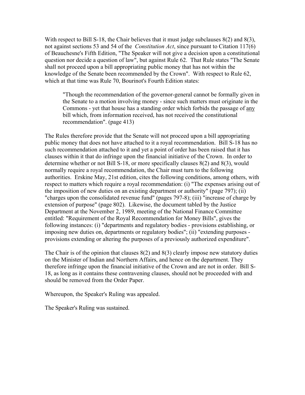With respect to Bill S-18, the Chair believes that it must judge subclauses  $8(2)$  and  $8(3)$ , not against sections 53 and 54 of the *Constitution Act*, since pursuant to Citation 117(6) of Beauchesne's Fifth Edition, "The Speaker will not give a decision upon a constitutional question nor decide a question of law", but against Rule 62. That Rule states "The Senate shall not proceed upon a bill appropriating public money that has not within the knowledge of the Senate been recommended by the Crown". With respect to Rule 62, which at that time was Rule 70, Bourinot's Fourth Edition states:

"Though the recommendation of the governor-general cannot be formally given in the Senate to a motion involving money - since such matters must originate in the Commons - yet that house has a standing order which forbids the passage of any bill which, from information received, has not received the constitutional recommendation". (page 413)

The Rules therefore provide that the Senate will not proceed upon a bill appropriating public money that does not have attached to it a royal recommendation. Bill S-18 has no such recommendation attached to it and yet a point of order has been raised that it has clauses within it that do infringe upon the financial initiative of the Crown. In order to determine whether or not Bill S-18, or more specifically clauses 8(2) and 8(3), would normally require a royal recommendation, the Chair must turn to the following authorities. Erskine May, 21st edition, cites the following conditions, among others, with respect to matters which require a royal recommendation: (i) "The expenses arising out of the imposition of new duties on an existing department or authority" (page 797); (ii) "charges upon the consolidated revenue fund" (pages 797-8); (iii) "increase of charge by extension of purpose" (page 802). Likewise, the document tabled by the Justice Department at the November 2, 1989, meeting of the National Finance Committee entitled: "Requirement of the Royal Recommendation for Money Bills", gives the following instances: (i) "departments and regulatory bodies - provisions establishing, or imposing new duties on, departments or regulatory bodies"; (ii) "extending purposes provisions extending or altering the purposes of a previously authorized expenditure".

The Chair is of the opinion that clauses  $8(2)$  and  $8(3)$  clearly impose new statutory duties on the Minister of Indian and Northern Affairs, and hence on the department. They therefore infringe upon the financial initiative of the Crown and are not in order. Bill S-18, as long as it contains these contravening clauses, should not be proceeded with and should be removed from the Order Paper.

Whereupon, the Speaker's Ruling was appealed.

The Speaker's Ruling was sustained.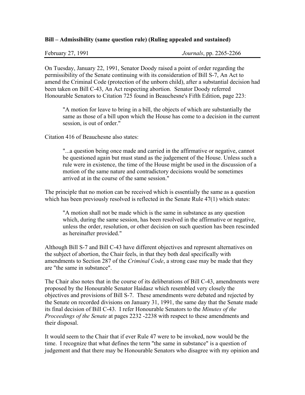#### **Bill – Admissibility (same question rule) (Ruling appealed and sustained)**

February 27, 1991 *Journals*, pp. 2265-2266

On Tuesday, January 22, 1991, Senator Doody raised a point of order regarding the permissibility of the Senate continuing with its consideration of Bill S-7, An Act to amend the Criminal Code (protection of the unborn child), after a substantial decision had been taken on Bill C-43, An Act respecting abortion. Senator Doody referred Honourable Senators to Citation 725 found in Beauchesne's Fifth Edition, page 223:

"A motion for leave to bring in a bill, the objects of which are substantially the same as those of a bill upon which the House has come to a decision in the current session, is out of order."

Citation 416 of Beauchesne also states:

"...a question being once made and carried in the affirmative or negative, cannot be questioned again but must stand as the judgement of the House. Unless such a rule were in existence, the time of the House might be used in the discussion of a motion of the same nature and contradictory decisions would be sometimes arrived at in the course of the same session."

The principle that no motion can be received which is essentially the same as a question which has been previously resolved is reflected in the Senate Rule 47(1) which states:

"A motion shall not be made which is the same in substance as any question which, during the same session, has been resolved in the affirmative or negative, unless the order, resolution, or other decision on such question has been rescinded as hereinafter provided."

Although Bill S-7 and Bill C-43 have different objectives and represent alternatives on the subject of abortion, the Chair feels, in that they both deal specifically with amendments to Section 287 of the *Criminal Code*, a strong case may be made that they are "the same in substance".

The Chair also notes that in the course of its deliberations of Bill C-43, amendments were proposed by the Honourable Senator Haidasz which resembled very closely the objectives and provisions of Bill S-7. These amendments were debated and rejected by the Senate on recorded divisions on January 31, 1991, the same day that the Senate made its final decision of Bill C-43. I refer Honourable Senators to the *Minutes of the Proceedings of the Senate* at pages 2232 -2238 with respect to these amendments and their disposal.

It would seem to the Chair that if ever Rule 47 were to be invoked, now would be the time. I recognize that what defines the term "the same in substance" is a question of judgement and that there may be Honourable Senators who disagree with my opinion and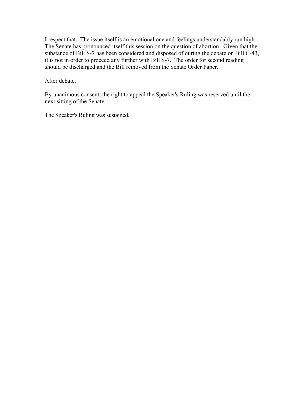I respect that. The issue itself is an emotional one and feelings understandably run high. The Senate has pronounced itself this session on the question of abortion. Given that the substance of Bill S-7 has been considered and disposed of during the debate on Bill C-43, it is not in order to proceed any further with Bill S-7. The order for second reading should be discharged and the Bill removed from the Senate Order Paper.

After debate,

By unanimous consent, the right to appeal the Speaker's Ruling was reserved until the next sitting of the Senate.

The Speaker's Ruling was sustained.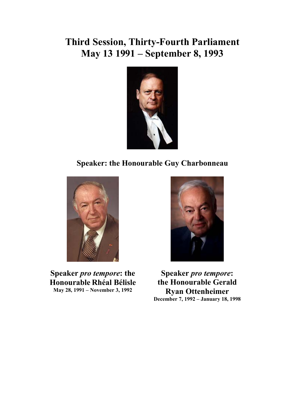# **Third Session, Thirty-Fourth Parliament May 13 1991 – September 8, 1993**



## **Speaker: the Honourable Guy Charbonneau**



**Speaker** *pro tempore***: the Honourable Rhéal Bélisle May 28, 1991 – November 3, 1992** 



**Speaker** *pro tempore***: the Honourable Gerald Ryan Ottenheimer December 7, 1992 – January 18, 1998**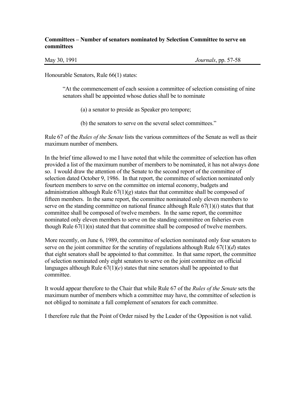#### **Committees – Number of senators nominated by Selection Committee to serve on committees**

May 30, 1991 *Journals*, pp. 57-58

Honourable Senators, Rule 66(1) states:

"At the commencement of each session a committee of selection consisting of nine senators shall be appointed whose duties shall be to nominate

(a) a senator to preside as Speaker pro tempore;

(b) the senators to serve on the several select committees."

Rule 67 of the *Rules of the Senate* lists the various committees of the Senate as well as their maximum number of members.

In the brief time allowed to me I have noted that while the committee of selection has often provided a list of the maximum number of members to be nominated, it has not always done so. I would draw the attention of the Senate to the second report of the committee of selection dated October 9, 1986. In that report, the committee of selection nominated only fourteen members to serve on the committee on internal economy, budgets and administration although Rule  $67(1)(g)$  states that that committee shall be composed of fifteen members. In the same report, the committee nominated only eleven members to serve on the standing committee on national finance although Rule 67(1)(*i*) states that that committee shall be composed of twelve members. In the same report, the committee nominated only eleven members to serve on the standing committee on fisheries even though Rule 67(1)(n) stated that that committee shall be composed of twelve members.

More recently, on June 6, 1989, the committee of selection nominated only four senators to serve on the joint committee for the scrutiny of regulations although Rule 67(1)(*d*) states that eight senators shall be appointed to that committee. In that same report, the committee of selection nominated only eight senators to serve on the joint committee on official languages although Rule  $67(1)(e)$  states that nine senators shall be appointed to that committee.

It would appear therefore to the Chair that while Rule 67 of the *Rules of the Senate* sets the maximum number of members which a committee may have, the committee of selection is not obliged to nominate a full complement of senators for each committee.

I therefore rule that the Point of Order raised by the Leader of the Opposition is not valid.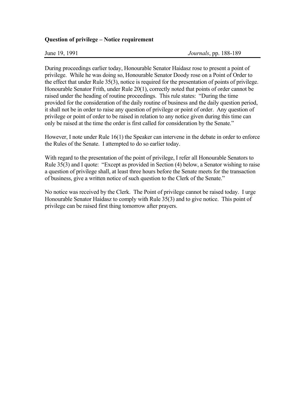#### **Question of privilege – Notice requirement**

During proceedings earlier today, Honourable Senator Haidasz rose to present a point of privilege. While he was doing so, Honourable Senator Doody rose on a Point of Order to the effect that under Rule 35(3), notice is required for the presentation of points of privilege. Honourable Senator Frith, under Rule 20(1), correctly noted that points of order cannot be raised under the heading of routine proceedings. This rule states: "During the time provided for the consideration of the daily routine of business and the daily question period, it shall not be in order to raise any question of privilege or point of order. Any question of privilege or point of order to be raised in relation to any notice given during this time can only be raised at the time the order is first called for consideration by the Senate."

However, I note under Rule 16(1) the Speaker can intervene in the debate in order to enforce the Rules of the Senate. I attempted to do so earlier today.

With regard to the presentation of the point of privilege, I refer all Honourable Senators to Rule 35(3) and I quote: "Except as provided in Section (4) below, a Senator wishing to raise a question of privilege shall, at least three hours before the Senate meets for the transaction of business, give a written notice of such question to the Clerk of the Senate."

No notice was received by the Clerk. The Point of privilege cannot be raised today. I urge Honourable Senator Haidasz to comply with Rule 35(3) and to give notice. This point of privilege can be raised first thing tomorrow after prayers.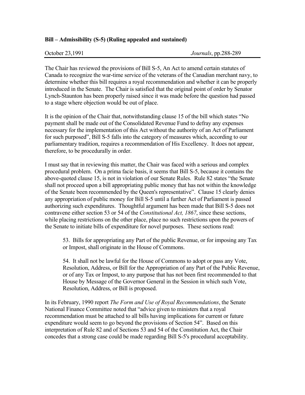#### **Bill – Admissibility (S-5) (Ruling appealed and sustained)**

The Chair has reviewed the provisions of Bill S-5, An Act to amend certain statutes of Canada to recognize the war-time service of the veterans of the Canadian merchant navy, to determine whether this bill requires a royal recommendation and whether it can be properly introduced in the Senate. The Chair is satisfied that the original point of order by Senator Lynch-Staunton has been properly raised since it was made before the question had passed to a stage where objection would be out of place.

It is the opinion of the Chair that, notwithstanding clause 15 of the bill which states "No payment shall be made out of the Consolidated Revenue Fund to defray any expenses necessary for the implementation of this Act without the authority of an Act of Parliament for such purposed", Bill S-5 falls into the category of measures which, according to our parliamentary tradition, requires a recommendation of His Excellency. It does not appear, therefore, to be procedurally in order.

I must say that in reviewing this matter, the Chair was faced with a serious and complex procedural problem. On a prima facie basis, it seems that Bill S-5, because it contains the above-quoted clause 15, is not in violation of our Senate Rules. Rule 82 states "the Senate shall not proceed upon a bill appropriating public money that has not within the knowledge of the Senate been recommended by the Queen's representative". Clause 15 clearly denies any appropriation of public money for Bill S-5 until a further Act of Parliament is passed authorizing such expenditures. Thoughtful argument has been made that Bill S-5 does not contravene either section 53 or 54 of the *Constitutional Act, 1867*, since these sections, while placing restrictions on the other place, place no such restrictions upon the powers of the Senate to initiate bills of expenditure for novel purposes. These sections read:

53. Bills for appropriating any Part of the public Revenue, or for imposing any Tax or Impost, shall originate in the House of Commons.

54. It shall not be lawful for the House of Commons to adopt or pass any Vote, Resolution, Address, or Bill for the Appropriation of any Part of the Public Revenue, or of any Tax or Impost, to any purpose that has not been first recommended to that House by Message of the Governor General in the Session in which such Vote, Resolution, Address, or Bill is proposed.

In its February, 1990 report *The Form and Use of Royal Recommendations*, the Senate National Finance Committee noted that "advice given to ministers that a royal recommendation must be attached to all bills having implications for current or future expenditure would seem to go beyond the provisions of Section 54". Based on this interpretation of Rule 82 and of Sections 53 and 54 of the Constitution Act, the Chair concedes that a strong case could be made regarding Bill S-5's procedural acceptability.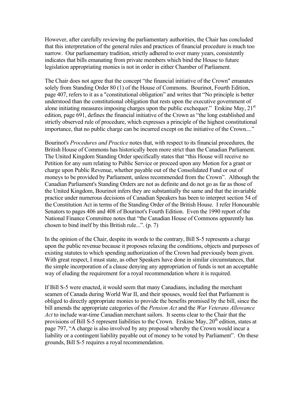However, after carefully reviewing the parliamentary authorities, the Chair has concluded that this interpretation of the general rules and practices of financial procedure is much too narrow. Our parliamentary tradition, strictly adhered to over many years, consistently indicates that bills emanating from private members which bind the House to future legislation appropriating monies is not in order in either Chamber of Parliament.

The Chair does not agree that the concept "the financial initiative of the Crown" emanates solely from Standing Order 80 (1) of the House of Commons. Bourinot, Fourth Edition, page 407, refers to it as a "constitutional obligation" and writes that "No principle is better understood than the constitutional obligation that rests upon the executive government of alone initiating measures imposing charges upon the public exchequer." Erskine May,  $21<sup>st</sup>$ edition, page 691, defines the financial initiative of the Crown as "the long established and strictly observed rule of procedure, which expresses a principle of the highest constitutional importance, that no public charge can be incurred except on the initiative of the Crown...."

Bourinot's *Procedures and Practice* notes that, with respect to its financial procedures, the British House of Commons has historically been more strict than the Canadian Parliament. The United Kingdom Standing Order specifically states that "this House will receive no Petition for any sum relating to Public Service or proceed upon any Motion for a grant or charge upon Public Revenue, whether payable out of the Consolidated Fund or out of moneys to be provided by Parliament, unless recommended from the Crown". Although the Canadian Parliament's Standing Orders are not as definite and do not go as far as those of the United Kingdom, Bourinot infers they are substantially the same and that the invariable practice under numerous decisions of Canadian Speakers has been to interpret section 54 of the Constitution Act in terms of the Standing Order of the British House. I refer Honourable Senators to pages 406 and 408 of Bourinot's Fourth Edition. Even the 1990 report of the National Finance Committee notes that "the Canadian House of Commons apparently has chosen to bind itself by this British rule...". (p. 7)

In the opinion of the Chair, despite its words to the contrary, Bill S-5 represents a charge upon the public revenue because it proposes relaxing the conditions, objects and purposes of existing statutes to which spending authorization of the Crown had previously been given. With great respect, I must state, as other Speakers have done in similar circumstances, that the simple incorporation of a clause denying any appropriation of funds is not an acceptable way of eluding the requirement for a royal recommendation where it is required.

If Bill S-5 were enacted, it would seem that many Canadians, including the merchant seamen of Canada during World War II, and their spouses, would feel that Parliament is obliged to directly appropriate monies to provide the benefits promised by the bill, since the bill amends the appropriate categories of the *Pension Act* and the *War Veterans Allowance Act* to include war-time Canadian merchant sailors. It seems clear to the Chair that the provisions of Bill S-5 represent liabilities to the Crown. Erskine May,  $20^{th}$  edition, states at page 797, "A charge is also involved by any proposal whereby the Crown would incur a liability or a contingent liability payable out of money to be voted by Parliament". On these grounds, Bill S-5 requires a royal recommendation.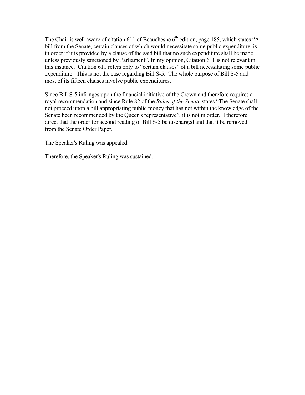The Chair is well aware of citation 611 of Beauchesne  $6<sup>th</sup>$  edition, page 185, which states "A bill from the Senate, certain clauses of which would necessitate some public expenditure, is in order if it is provided by a clause of the said bill that no such expenditure shall be made unless previously sanctioned by Parliament". In my opinion, Citation 611 is not relevant in this instance. Citation 611 refers only to "certain clauses" of a bill necessitating some public expenditure. This is not the case regarding Bill S-5. The whole purpose of Bill S-5 and most of its fifteen clauses involve public expenditures.

Since Bill S-5 infringes upon the financial initiative of the Crown and therefore requires a royal recommendation and since Rule 82 of the *Rules of the Senate* states "The Senate shall not proceed upon a bill appropriating public money that has not within the knowledge of the Senate been recommended by the Queen's representative", it is not in order. I therefore direct that the order for second reading of Bill S-5 be discharged and that it be removed from the Senate Order Paper.

The Speaker's Ruling was appealed.

Therefore, the Speaker's Ruling was sustained.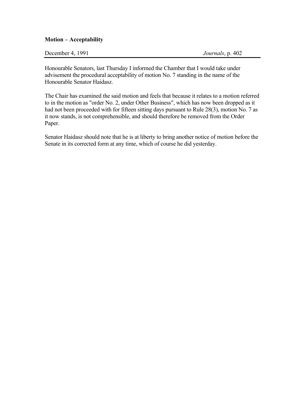#### **Motion – Acceptability**

| December 4, 1991 | Journals, p. 402 |
|------------------|------------------|
|------------------|------------------|

Honourable Senators, last Thursday I informed the Chamber that I would take under advisement the procedural acceptability of motion No. 7 standing in the name of the Honourable Senator Haidasz.

The Chair has examined the said motion and feels that because it relates to a motion referred to in the motion as "order No. 2, under Other Business", which has now been dropped as it had not been proceeded with for fifteen sitting days pursuant to Rule 28(3), motion No. 7 as it now stands, is not comprehensible, and should therefore be removed from the Order Paper.

Senator Haidasz should note that he is at liberty to bring another notice of motion before the Senate in its corrected form at any time, which of course he did yesterday.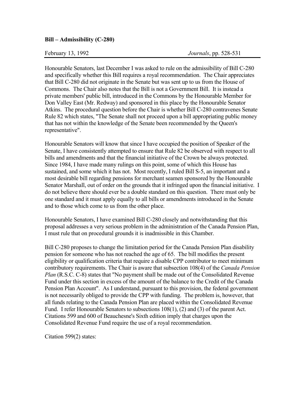#### **Bill – Admissibility (C-280)**

Honourable Senators, last December I was asked to rule on the admissibility of Bill C-280 and specifically whether this Bill requires a royal recommendation. The Chair appreciates that Bill C-280 did not originate in the Senate but was sent up to us from the House of Commons. The Chair also notes that the Bill is not a Government Bill. It is instead a private members' public bill, introduced in the Commons by the Honourable Member for Don Valley East (Mr. Redway) and sponsored in this place by the Honourable Senator Atkins. The procedural question before the Chair is whether Bill C-280 contravenes Senate Rule 82 which states, "The Senate shall not proceed upon a bill appropriating public money that has not within the knowledge of the Senate been recommended by the Queen's representative".

Honourable Senators will know that since I have occupied the position of Speaker of the Senate, I have consistently attempted to ensure that Rule 82 be observed with respect to all bills and amendments and that the financial initiative of the Crown be always protected. Since 1984, I have made many rulings on this point, some of which this House has sustained, and some which it has not. Most recently, I ruled Bill S-5, an important and a most desirable bill regarding pensions for merchant seamen sponsored by the Honourable Senator Marshall, out of order on the grounds that it infringed upon the financial initiative. I do not believe there should ever be a double standard on this question. There must only be one standard and it must apply equally to all bills or amendments introduced in the Senate and to those which come to us from the other place.

Honourable Senators, I have examined Bill C-280 closely and notwithstanding that this proposal addresses a very serious problem in the administration of the Canada Pension Plan, I must rule that on procedural grounds it is inadmissible in this Chamber.

Bill C-280 proposes to change the limitation period for the Canada Pension Plan disability pension for someone who has not reached the age of 65. The bill modifies the present eligibility or qualification criteria that require a disable CPP contributor to meet minimum contributory requirements. The Chair is aware that subsection 108(4) of the *Canada Pension Plan* (R.S.C. C-8) states that "No payment shall be made out of the Consolidated Revenue Fund under this section in excess of the amount of the balance to the Credit of the Canada Pension Plan Account". As I understand, pursuant to this provision, the federal government is not necessarily obliged to provide the CPP with funding. The problem is, however, that all funds relating to the Canada Pension Plan are placed within the Consolidated Revenue Fund. I refer Honourable Senators to subsections 108(1), (2) and (3) of the parent Act. Citations 599 and 600 of Beauchesne's Sixth edition imply that charges upon the Consolidated Revenue Fund require the use of a royal recommendation.

Citation 599(2) states: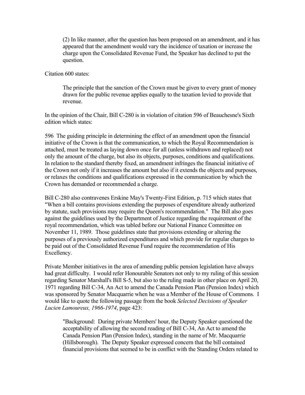(2) In like manner, after the question has been proposed on an amendment, and it has appeared that the amendment would vary the incidence of taxation or increase the charge upon the Consolidated Revenue Fund, the Speaker has declined to put the question.

Citation 600 states:

The principle that the sanction of the Crown must be given to every grant of money drawn for the public revenue applies equally to the taxation levied to provide that revenue.

In the opinion of the Chair, Bill C-280 is in violation of citation 596 of Beauchesne's Sixth edition which states:

596 The guiding principle in determining the effect of an amendment upon the financial initiative of the Crown is that the communication, to which the Royal Recommendation is attached, must be treated as laying down once for all (unless withdrawn and replaced) not only the amount of the charge, but also its objects, purposes, conditions and qualifications. In relation to the standard thereby fixed, an amendment infringes the financial initiative of the Crown not only if it increases the amount but also if it extends the objects and purposes, or relaxes the conditions and qualifications expressed in the communication by which the Crown has demanded or recommended a charge.

Bill C-280 also contravenes Erskine May's Twenty-First Edition, p. 715 which states that "When a bill contains provisions extending the purposes of expenditure already authorized by statute, such provisions may require the Queen's recommendation." The Bill also goes against the guidelines used by the Department of Justice regarding the requirement of the royal recommendation, which was tabled before our National Finance Committee on November 11, 1989. Those guidelines state that provisions extending or altering the purposes of a previously authorized expenditures and which provide for regular charges to be paid out of the Consolidated Revenue Fund require the recommendation of His Excellency.

Private Member initiatives in the area of amending public pension legislation have always had great difficulty. I would refer Honourable Senators not only to my ruling of this session regarding Senator Marshall's Bill S-5, but also to the ruling made in other place on April 20, 1971 regarding Bill C-34, An Act to amend the Canada Pension Plan (Pension Index) which was sponsored by Senator Macquarrie when he was a Member of the House of Commons. I would like to quote the following passage from the book *Selected Decisions of Speaker Lucien Lamoureux, 1966-1974*, page 423:

"Background: During private Members' hour, the Deputy Speaker questioned the acceptability of allowing the second reading of Bill C-34, An Act to amend the Canada Pension Plan (Pension Index), standing in the name of Mr. Macquarrie (Hillsborough). The Deputy Speaker expressed concern that the bill contained financial provisions that seemed to be in conflict with the Standing Orders related to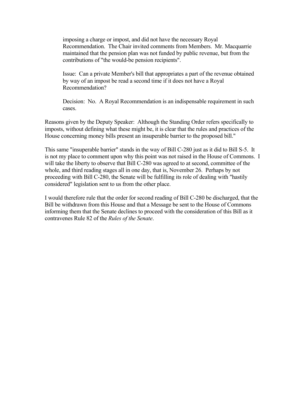imposing a charge or impost, and did not have the necessary Royal Recommendation. The Chair invited comments from Members. Mr. Macquarrie maintained that the pension plan was not funded by public revenue, but from the contributions of "the would-be pension recipients".

Issue: Can a private Member's bill that appropriates a part of the revenue obtained by way of an impost be read a second time if it does not have a Royal Recommendation?

Decision: No. A Royal Recommendation is an indispensable requirement in such cases.

Reasons given by the Deputy Speaker: Although the Standing Order refers specifically to imposts, without defining what these might be, it is clear that the rules and practices of the House concerning money bills present an insuperable barrier to the proposed bill."

This same "insuperable barrier" stands in the way of Bill C-280 just as it did to Bill S-5. It is not my place to comment upon why this point was not raised in the House of Commons. I will take the liberty to observe that Bill C-280 was agreed to at second, committee of the whole, and third reading stages all in one day, that is, November 26. Perhaps by not proceeding with Bill C-280, the Senate will be fulfilling its role of dealing with "hastily considered" legislation sent to us from the other place.

I would therefore rule that the order for second reading of Bill C-280 be discharged, that the Bill be withdrawn from this House and that a Message be sent to the House of Commons informing them that the Senate declines to proceed with the consideration of this Bill as it contravenes Rule 82 of the *Rules of the Senate*.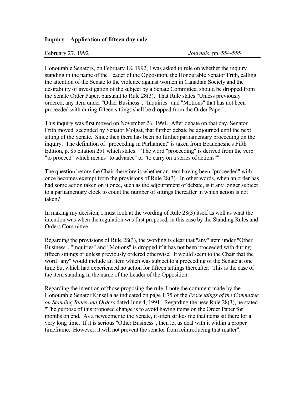# **Inquiry – Application of fifteen day rule**

Honourable Senators, on February 18, 1992, I was asked to rule on whether the inquiry standing in the name of the Leader of the Opposition, the Honourable Senator Frith, calling the attention of the Senate to the violence against women in Canadian Society and the desirability of investigation of the subject by a Senate Committee, should be dropped from the Senate Order Paper, pursuant to Rule 28(3). That Rule states "Unless previously ordered, any item under "Other Business", "Inquiries" and "Motions" that has not been proceeded with during fifteen sittings shall be dropped from the Order Paper".

This inquiry was first moved on November 26, 1991. After debate on that day, Senator Frith moved, seconded by Senator Molgat, that further debate be adjourned until the next sitting of the Senate. Since then there has been no further parliamentary proceeding on the inquiry. The definition of "proceeding in Parliament" is taken from Beauchesne's Fifth Edition, p. 85 citation 251 which states: "The word "proceeding" is derived from the verb "to proceed" which means "to advance" or "to carry on a series of actions"".

The question before the Chair therefore is whether an item having been "proceeded" with once becomes exempt from the provisions of Rule 28(3). In other words, when an order has had some action taken on it once, such as the adjournment of debate, is it any longer subject to a parliamentary clock to count the number of sittings thereafter in which action is not taken?

In making my decision, I must look at the wording of Rule 28(3) itself as well as what the intention was when the regulation was first proposed, in this case by the Standing Rules and Orders Committee.

Regarding the provisions of Rule 28(3), the wording is clear that "any" item under "Other Business", "Inquiries" and "Motions" is dropped if it has not been proceeded with during fifteen sittings or unless previously ordered otherwise. It would seem to the Chair that the word "any" would include an item which was subject to a proceeding of the Senate at one time but which had experienced no action for fifteen sittings thereafter. This is the case of the item standing in the name of the Leader of the Opposition.

Regarding the intention of those proposing the rule, I note the comment made by the Honourable Senator Kinsella as indicated on page 1:75 of the *Proceedings of the Committee on Standing Rules and Orders* dated June 4, 1991. Regarding the new Rule 28(3), he stated "The purpose of this proposed change is to avoid having items on the Order Paper for months on end. As a newcomer to the Senate, it often strikes me that items sit there for a very long time. If it is serious "Other Business", then let us deal with it within a proper timeframe. However, it will not prevent the senator from reintroducing that matter".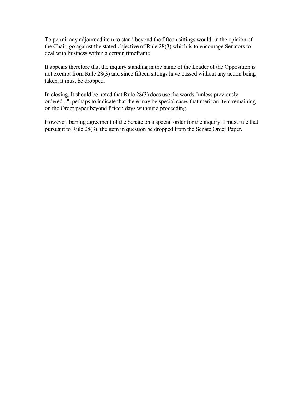To permit any adjourned item to stand beyond the fifteen sittings would, in the opinion of the Chair, go against the stated objective of Rule 28(3) which is to encourage Senators to deal with business within a certain timeframe.

It appears therefore that the inquiry standing in the name of the Leader of the Opposition is not exempt from Rule 28(3) and since fifteen sittings have passed without any action being taken, it must be dropped.

In closing, It should be noted that Rule 28(3) does use the words "unless previously ordered...", perhaps to indicate that there may be special cases that merit an item remaining on the Order paper beyond fifteen days without a proceeding.

However, barring agreement of the Senate on a special order for the inquiry, I must rule that pursuant to Rule 28(3), the item in question be dropped from the Senate Order Paper.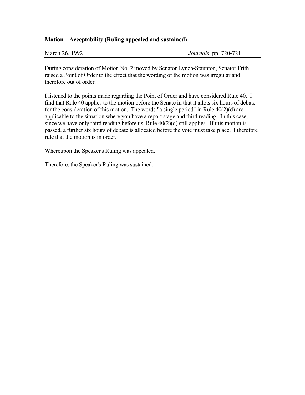# **Motion – Acceptability (Ruling appealed and sustained)**

| March 26, 1992 |  |
|----------------|--|
|                |  |

During consideration of Motion No. 2 moved by Senator Lynch-Staunton, Senator Frith raised a Point of Order to the effect that the wording of the motion was irregular and therefore out of order.

I listened to the points made regarding the Point of Order and have considered Rule 40. I find that Rule 40 applies to the motion before the Senate in that it allots six hours of debate for the consideration of this motion. The words "a single period" in Rule 40(2)(d) are applicable to the situation where you have a report stage and third reading. In this case, since we have only third reading before us, Rule  $40(2)(d)$  still applies. If this motion is passed, a further six hours of debate is allocated before the vote must take place. I therefore rule that the motion is in order.

Whereupon the Speaker's Ruling was appealed.

Therefore, the Speaker's Ruling was sustained.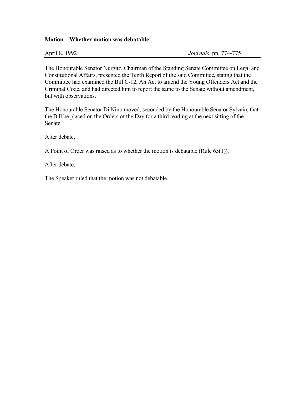## **Motion – Whether motion was debatable**

April 8, 1992 *Journals*, pp. 774-775

The Honourable Senator Nurgitz, Chairman of the Standing Senate Committee on Legal and Constitutional Affairs, presented the Tenth Report of the said Committee, stating that the Committee had examined the Bill C-12, An Act to amend the Young Offenders Act and the Criminal Code, and had directed him to report the same to the Senate without amendment, but with observations.

The Honourable Senator Di Nino moved, seconded by the Honourable Senator Sylvain, that the Bill be placed on the Orders of the Day for a third reading at the next sitting of the Senate.

After debate,

A Point of Order was raised as to whether the motion is debatable (Rule 63(1)).

After debate,

The Speaker ruled that the motion was not debatable.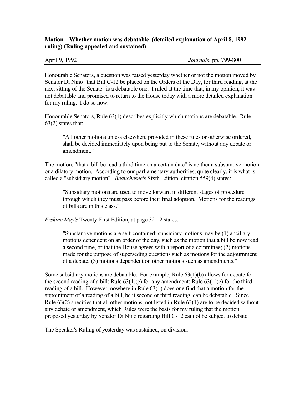# **Motion – Whether motion was debatable (detailed explanation of April 8, 1992 ruling) (Ruling appealed and sustained)**

April 9, 1992 *Journals*, pp. 799-800

Honourable Senators, a question was raised yesterday whether or not the motion moved by Senator Di Nino "that Bill C-12 be placed on the Orders of the Day, for third reading, at the next sitting of the Senate" is a debatable one. I ruled at the time that, in my opinion, it was not debatable and promised to return to the House today with a more detailed explanation for my ruling. I do so now.

Honourable Senators, Rule 63(1) describes explicitly which motions are debatable. Rule  $63(2)$  states that:

"All other motions unless elsewhere provided in these rules or otherwise ordered, shall be decided immediately upon being put to the Senate, without any debate or amendment<sup>"</sup>

The motion, "that a bill be read a third time on a certain date" is neither a substantive motion or a dilatory motion. According to our parliamentary authorities, quite clearly, it is what is called a "subsidiary motion". *Beauchesne's* Sixth Edition, citation 559(4) states:

"Subsidiary motions are used to move forward in different stages of procedure through which they must pass before their final adoption. Motions for the readings of bills are in this class."

*Erskine May's* Twenty-First Edition, at page 321-2 states:

"Substantive motions are self-contained; subsidiary motions may be (1) ancillary motions dependent on an order of the day, such as the motion that a bill be now read a second time, or that the House agrees with a report of a committee; (2) motions made for the purpose of superseding questions such as motions for the adjournment of a debate; (3) motions dependent on other motions such as amendments."

Some subsidiary motions are debatable. For example, Rule 63(1)(b) allows for debate for the second reading of a bill; Rule  $63(1)(c)$  for any amendment; Rule  $63(1)(e)$  for the third reading of a bill. However, nowhere in Rule 63(1) does one find that a motion for the appointment of a reading of a bill, be it second or third reading, can be debatable. Since Rule 63(2) specifies that all other motions, not listed in Rule 63(1) are to be decided without any debate or amendment, which Rules were the basis for my ruling that the motion proposed yesterday by Senator Di Nino regarding Bill C-12 cannot be subject to debate.

The Speaker's Ruling of yesterday was sustained, on division.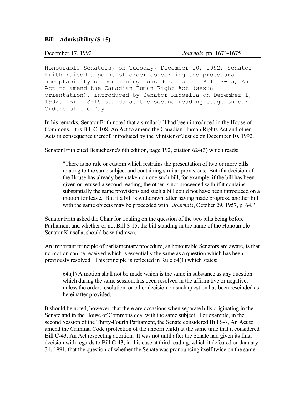## **Bill – Admissibility (S-15)**

December 17, 1992 *Journals*, pp. 1673-1675

Honourable Senators, on Tuesday, December 10, 1992, Senator Frith raised a point of order concerning the procedural acceptability of continuing consideration of Bill S-15, An Act to amend the Canadian Human Right Act (sexual orientation), introduced by Senator Kinsella on December 1, 1992. Bill S-15 stands at the second reading stage on our Orders of the Day.

In his remarks, Senator Frith noted that a similar bill had been introduced in the House of Commons. It is Bill C-108, An Act to amend the Canadian Human Rights Act and other Acts in consequence thereof, introduced by the Minister of Justice on December 10, 1992.

Senator Frith cited Beauchesne's 6th edition, page 192, citation 624(3) which reads:

"There is no rule or custom which restrains the presentation of two or more bills relating to the same subject and containing similar provisions. But if a decision of the House has already been taken on one such bill, for example, if the bill has been given or refused a second reading, the other is not proceeded with if it contains substantially the same provisions and such a bill could not have been introduced on a motion for leave. But if a bill is withdrawn, after having made progress, another bill with the same objects may be proceeded with. *Journals*, October 29, 1957, p. 64."

Senator Frith asked the Chair for a ruling on the question of the two bills being before Parliament and whether or not Bill S-15, the bill standing in the name of the Honourable Senator Kinsella, should be withdrawn.

An important principle of parliamentary procedure, as honourable Senators are aware, is that no motion can be received which is essentially the same as a question which has been previously resolved. This principle is reflected in Rule 64(1) which states:

64.(1) A motion shall not be made which is the same in substance as any question which during the same session, has been resolved in the affirmative or negative, unless the order, resolution, or other decision on such question has been rescinded as hereinafter provided.

It should be noted, however, that there are occasions when separate bills originating in the Senate and in the House of Commons deal with the same subject. For example, in the second Session of the Thirty-Fourth Parliament, the Senate considered Bill S-7, An Act to amend the Criminal Code (protection of the unborn child) at the same time that it considered Bill C-43, An Act respecting abortion. It was not until after the Senate had given its final decision with regards to Bill C-43, in this case at third reading, which it defeated on January 31, 1991, that the question of whether the Senate was pronouncing itself twice on the same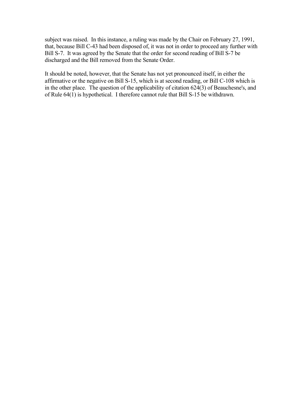subject was raised. In this instance, a ruling was made by the Chair on February 27, 1991, that, because Bill C-43 had been disposed of, it was not in order to proceed any further with Bill S-7. It was agreed by the Senate that the order for second reading of Bill S-7 be discharged and the Bill removed from the Senate Order.

It should be noted, however, that the Senate has not yet pronounced itself, in either the affirmative or the negative on Bill S-15, which is at second reading, or Bill C-108 which is in the other place. The question of the applicability of citation 624(3) of Beauchesne's, and of Rule 64(1) is hypothetical. I therefore cannot rule that Bill S-15 be withdrawn.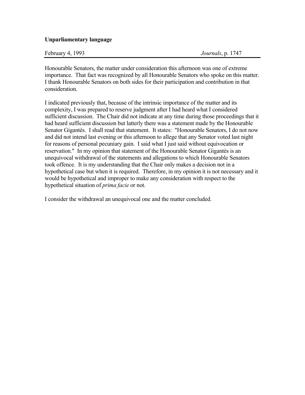# **Unparliamentary language**

February 4, 1993 *Journals*, p. 1747

Honourable Senators, the matter under consideration this afternoon was one of extreme importance. That fact was recognized by all Honourable Senators who spoke on this matter. I thank Honourable Senators on both sides for their participation and contribution in that consideration.

I indicated previously that, because of the intrinsic importance of the matter and its complexity, I was prepared to reserve judgment after I had heard what I considered sufficient discussion. The Chair did not indicate at any time during those proceedings that it had heard sufficient discussion but latterly there was a statement made by the Honourable Senator Gigantès. I shall read that statement. It states: "Honourable Senators, I do not now and did not intend last evening or this afternoon to allege that any Senator voted last night for reasons of personal pecuniary gain. I said what I just said without equivocation or reservation." In my opinion that statement of the Honourable Senator Gigantès is an unequivocal withdrawal of the statements and allegations to which Honourable Senators took offence. It is my understanding that the Chair only makes a decision not in a hypothetical case but when it is required. Therefore, in my opinion it is not necessary and it would be hypothetical and improper to make any consideration with respect to the hypothetical situation of *prima facie* or not.

I consider the withdrawal an unequivocal one and the matter concluded.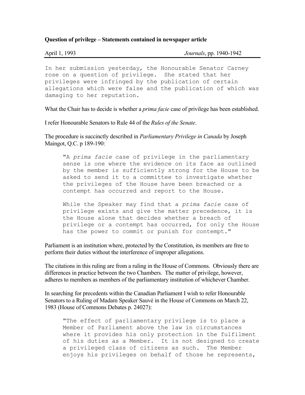## **Question of privilege – Statements contained in newspaper article**

| April 1, 1993 |  |
|---------------|--|
|               |  |
|               |  |

April 1, 1993 *Journals*, pp. 1940-1942

In her submission yesterday, the Honourable Senator Carney rose on a question of privilege. She stated that her privileges were infringed by the publication of certain allegations which were false and the publication of which was damaging to her reputation.

What the Chair has to decide is whether a *prima facie* case of privilege has been established.

I refer Honourable Senators to Rule 44 of the *Rules of the Senate*.

The procedure is succinctly described in *Parliamentary Privilege in Canada* by Joseph Maingot, Q.C. p 189-190:

"A *prima facie* case of privilege in the parliamentary sense is one where the evidence on its face as outlined by the member is sufficiently strong for the House to be asked to send it to a committee to investigate whether the privileges of the House have been breached or a contempt has occurred and report to the House.

While the Speaker may find that a *prima facie* case of privilege exists and give the matter precedence, it is the House alone that decides whether a breach of privilege or a contempt has occurred, for only the House has the power to commit or punish for contempt."

Parliament is an institution where, protected by the Constitution, its members are free to perform their duties without the interference of improper allegations.

The citations in this ruling are from a ruling in the House of Commons. Obviously there are differences in practice between the two Chambers. The matter of privilege, however, adheres to members as members of the parliamentary institution of whichever Chamber.

In searching for precedents within the Canadian Parliament I wish to refer Honourable Senators to a Ruling of Madam Speaker Sauvé in the House of Commons on March 22, 1983 (House of Commons Debates p. 24027):

"The effect of parliamentary privilege is to place a Member of Parliament above the law in circumstances where it provides his only protection in the fulfilment of his duties as a Member. It is not designed to create a privileged class of citizens as such. The Member enjoys his privileges on behalf of those he represents,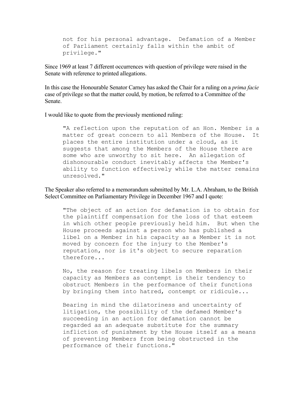not for his personal advantage. Defamation of a Member of Parliament certainly falls within the ambit of privilege."

Since 1969 at least 7 different occurrences with question of privilege were raised in the Senate with reference to printed allegations.

In this case the Honourable Senator Carney has asked the Chair for a ruling on a *prima facie* case of privilege so that the matter could, by motion, be referred to a Committee of the Senate.

I would like to quote from the previously mentioned ruling:

"A reflection upon the reputation of an Hon. Member is a matter of great concern to all Members of the House. It places the entire institution under a cloud, as it suggests that among the Members of the House there are some who are unworthy to sit here. An allegation of dishonourable conduct inevitably affects the Member's ability to function effectively while the matter remains unresolved."

The Speaker also referred to a memorandum submitted by Mr. L.A. Abraham, to the British Select Committee on Parliamentary Privilege in December 1967 and I quote:

"The object of an action for defamation is to obtain for the plaintiff compensation for the loss of that esteem in which other people previously held him. But when the House proceeds against a person who has published a libel on a Member in his capacity as a Member it is not moved by concern for the injury to the Member's reputation, nor is it's object to secure reparation therefore...

No, the reason for treating libels on Members in their capacity as Members as contempt is their tendency to obstruct Members in the performance of their functions by bringing them into hatred, contempt or ridicule...

Bearing in mind the dilatoriness and uncertainty of litigation, the possibility of the defamed Member's succeeding in an action for defamation cannot be regarded as an adequate substitute for the summary infliction of punishment by the House itself as a means of preventing Members from being obstructed in the performance of their functions."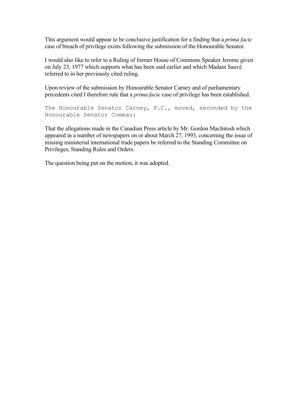This argument would appear to be conclusive justification for a finding that a *prima facie* case of breach of privilege exists following the submission of the Honourable Senator.

I would also like to refer to a Ruling of former House of Commons Speaker Jerome given on July 23, 1977 which supports what has been said earlier and which Madam Sauvé referred to in her previously cited ruling.

Upon review of the submission by Honourable Senator Carney and of parliamentary precedents cited I therefore rule that a *prima facie* case of privilege has been established.

The Honourable Senator Carney, P.C., moved, seconded by the Honourable Senator Comeau:

That the allegations made in the Canadian Press article by Mr. Gordon MacIntosh which appeared in a number of newspapers on or about March 27, 1993, concerning the issue of missing ministerial international trade papers be referred to the Standing Committee on Privileges, Standing Rules and Orders.

The question being put on the motion, it was adopted.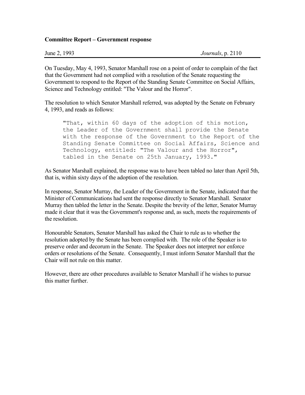## **Committee Report – Government response**

| June 2, 1993 | Journals, $p. 2110$ |
|--------------|---------------------|
|--------------|---------------------|

On Tuesday, May 4, 1993, Senator Marshall rose on a point of order to complain of the fact that the Government had not complied with a resolution of the Senate requesting the Government to respond to the Report of the Standing Senate Committee on Social Affairs, Science and Technology entitled: "The Valour and the Horror".

The resolution to which Senator Marshall referred, was adopted by the Senate on February 4, 1993, and reads as follows:

"That, within 60 days of the adoption of this motion, the Leader of the Government shall provide the Senate with the response of the Government to the Report of the Standing Senate Committee on Social Affairs, Science and Technology, entitled: "The Valour and the Horror", tabled in the Senate on 25th January, 1993."

As Senator Marshall explained, the response was to have been tabled no later than April 5th, that is, within sixty days of the adoption of the resolution.

In response, Senator Murray, the Leader of the Government in the Senate, indicated that the Minister of Communications had sent the response directly to Senator Marshall. Senator Murray then tabled the letter in the Senate. Despite the brevity of the letter, Senator Murray made it clear that it was the Government's response and, as such, meets the requirements of the resolution.

Honourable Senators, Senator Marshall has asked the Chair to rule as to whether the resolution adopted by the Senate has been complied with. The role of the Speaker is to preserve order and decorum in the Senate. The Speaker does not interpret nor enforce orders or resolutions of the Senate. Consequently, I must inform Senator Marshall that the Chair will not rule on this matter.

However, there are other procedures available to Senator Marshall if he wishes to pursue this matter further.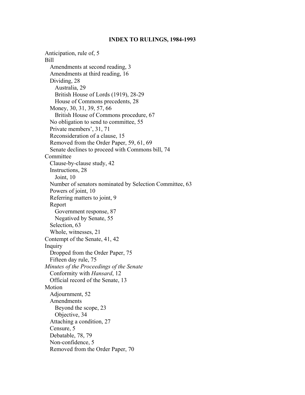### **INDEX TO RULINGS, 1984-1993**

Anticipation, rule of, 5 Bill Amendments at second reading, 3 Amendments at third reading, 16 Dividing, 28 Australia, 29 British House of Lords (1919), 28-29 House of Commons precedents, 28 Money, 30, 31, 39, 57, 66 British House of Commons procedure, 67 No obligation to send to committee, 55 Private members', 31, 71 Reconsideration of a clause, 15 Removed from the Order Paper, 59, 61, 69 Senate declines to proceed with Commons bill, 74 Committee Clause-by-clause study, 42 Instructions, 28 Joint, 10 Number of senators nominated by Selection Committee, 63 Powers of joint, 10 Referring matters to joint, 9 Report Government response, 87 Negatived by Senate, 55 Selection, 63 Whole, witnesses, 21 Contempt of the Senate, 41, 42 Inquiry Dropped from the Order Paper, 75 Fifteen day rule, 75 *Minutes of the Proceedings of the Senate* Conformity with *Hansard*, 12 Official record of the Senate, 13 Motion Adjournment, 52 Amendments Beyond the scope, 23 Objective, 34 Attaching a condition, 27 Censure, 5 Debatable, 78, 79 Non-confidence, 5 Removed from the Order Paper, 70